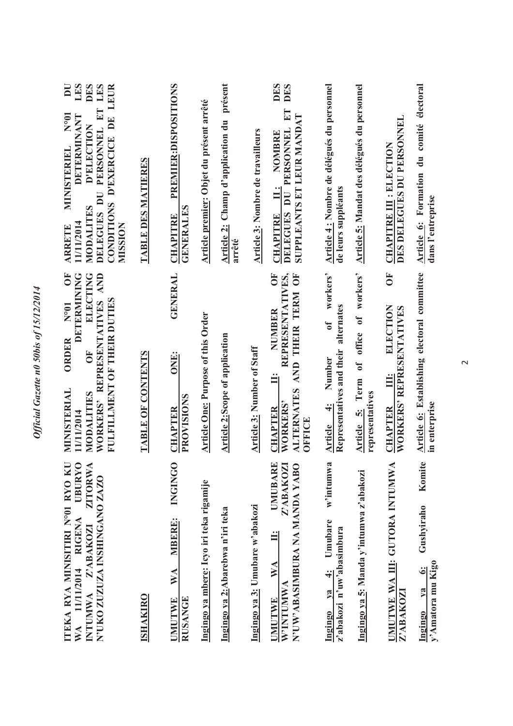| <b>UBURYO</b><br>ITEKA RYA MINISITIRI N°01 RYO KU<br>ZITORW<br>N'UKO ZUZUZA INSHINGANO ZAZO<br><b>RIGENA</b><br>INTUMWA Z'ABAKOZI<br>11/11/2014<br>$W\mathbf{A}$ | DETERMINING<br><b>FO</b><br>ELECTING<br>WORKERS' REPRESENTATIVES AND<br>FULFILLMENT OF THEIR DUTIES<br>N°01<br><b>ORDER</b><br>E<br>MINISTERIAL<br>MODALITIES<br>11/11/2014 | LES<br><b>DES</b><br>$\overline{\mathbf{D}}$<br>LES<br>LEUR<br>E<br>N <sub>001</sub><br>DETERMINANT<br>$\mathbf{D}^{\mathbf{E}}$<br>PERSONNEL<br>D'ELECTION<br><b>D'EXERCICE</b><br>MINISTERIEL<br>DELEGUES DU<br><b>CONDITIONS</b><br>MODALITES<br>11/11/2014<br>MUSSION<br><b>ARRETE</b> |
|------------------------------------------------------------------------------------------------------------------------------------------------------------------|-----------------------------------------------------------------------------------------------------------------------------------------------------------------------------|--------------------------------------------------------------------------------------------------------------------------------------------------------------------------------------------------------------------------------------------------------------------------------------------|
| <b>ISHAKIRO</b>                                                                                                                                                  | <b>TABLE OF CONTENTS</b>                                                                                                                                                    | <b>TABLE DES MATIERES</b>                                                                                                                                                                                                                                                                  |
| <b>INGINGO</b><br><b>MBERE:</b><br>WA<br><b>RUSANGE</b><br><b>UMUTWE</b>                                                                                         | <b>GENERAL</b><br>ONE:<br>PROVISIONS<br><b>CHAPTER</b>                                                                                                                      | PREMIER: DISPOSITIONS<br><b>GENERALES</b><br><b>CHAPITRE</b>                                                                                                                                                                                                                               |
| Ingingo ya mbere: Icyo iri teka rigamije                                                                                                                         | <b>Article One: Purpose of this Order</b>                                                                                                                                   | Article premier: Objet du présent arrêté                                                                                                                                                                                                                                                   |
| Ingingo ya 2:Abarebwa n'iri teka                                                                                                                                 | <b>Article 2:Scope of application</b>                                                                                                                                       | Article 2: Champ d'application du présent<br>arrêté                                                                                                                                                                                                                                        |
| Ingingo ya 3: Umubare w'abakozi                                                                                                                                  | <b>Article 3: Number of Staff</b>                                                                                                                                           | Article 3: Nombre de travailleurs                                                                                                                                                                                                                                                          |
| <b>UMUBARE</b><br>Z'ABAKOZI<br>N'UW'ABASIMBURA NA MANDA YABO<br>WA<br>W'INTUMWA<br>UMUTWE                                                                        | REPRESENTATIVES,<br>Ŏ<br>OF<br>THEIR TERM<br>NUMBER<br><b>AND</b><br>Ë<br><b>ALTERNATES</b><br>WORKERS'<br><b>CHAPTER</b><br>OFFICE                                         | DES<br><b>DES</b><br>ET<br>SUPPLEANTS ET LEUR MANDAT<br><b>PERSONNEL</b><br><b>NOMBRE</b><br>$\vdots$<br>DELEGUES DU<br><b>CHAPITRE</b>                                                                                                                                                    |
| w'intumwa<br>Umubare<br>z'abakozi n'uw'abasimbura<br>$\ddot{ }$<br>$YA$<br>Ingingo                                                                               | workers'<br>alternates<br>$\mathbf{d}$<br>Representatives and their<br>Number<br>$\div$<br><b>Article</b>                                                                   | Article 4 : Nombre de délégués du personnel<br>de leurs suppléants                                                                                                                                                                                                                         |
| Ingingo ya 5: Manda y'intumwa z'abakozi                                                                                                                          | workers'<br>office of<br>$\mathbf{c}$<br>Article 5: Term<br>representatives                                                                                                 | Article 5: Mandat des délégués du personnel                                                                                                                                                                                                                                                |
| UMUTWE WA III: GUTORA INTUMWA<br>Z'ABAKOZI                                                                                                                       | Ŏ<br>ELECTION<br>WORKERS' REPRESENTATIVES<br><u>int</u><br><b>CHAPTER</b>                                                                                                   | DES DELEGUES DU PERSONNEL<br><b>CHAPITRE III: ELECTION</b>                                                                                                                                                                                                                                 |
| Komite<br>Gushyiraho<br>y'Amatora mu Kigo<br>$\ddot{\bullet}$<br>$1$<br>Ingingo                                                                                  | Article 6: Establishing electoral committee<br>in enterprise                                                                                                                | Article 6: Formation du comité électoral<br>dans l'entreprise                                                                                                                                                                                                                              |

 $\sim$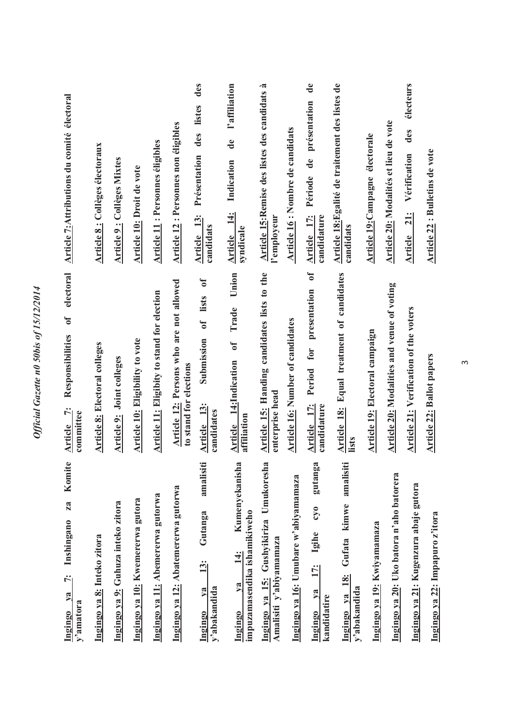| Komite<br>za<br>Inshingano<br>ċ.<br>$ya$<br>y'amatora<br><b>Ingingo</b>                     | electoral<br>$\mathbf{d}$<br>Responsibilities<br>$\ddot{z}$<br>committee<br>Article | Article 7: Attributions du comité électoral                                                          |
|---------------------------------------------------------------------------------------------|-------------------------------------------------------------------------------------|------------------------------------------------------------------------------------------------------|
| Ingingo ya 8: Inteko zitora                                                                 | Article 8: Electoral colleges                                                       | <b>Article 8: Collèges électoraux</b>                                                                |
| Ingingo ya 9: Guhuza inteko zitora                                                          | Article 9: Joint colleges                                                           | <b>Article 9: Collèges Mixtes</b>                                                                    |
| Ingingo ya 10: Kwemererwa gutora                                                            | <b>Article 10: Eligibility to vote</b>                                              | Article 10: Droit de vote                                                                            |
| Ingingo ya 11: Abemererwa gutorwa                                                           | <b>Article 11: Eligibity to stand for election</b>                                  | <b>Article 11: Personnes éligibles</b>                                                               |
| Ingingo ya 12: Abatemererwa gutorwa                                                         | Article 12: Persons who are not allowed<br>to stand for elections                   | <b>Article 12: Personnes non éligibles</b>                                                           |
| amalisiti<br>Gutanga<br>13:<br>y'abakandida<br>$1$<br>Ingingo                               | $\sigma$<br>Submission of lists<br>13:<br>candidates<br>Article                     | des<br>des listes<br>Présentation<br><b>Article</b> 13:<br>candidats                                 |
| Kumenyekanisha<br>impuzamasendika ishamikiweho<br>$\frac{4}{3}$<br>va<br>Ingingo            | Union<br>Trade<br>$\mathfrak{h}$<br>14:Indication<br>affiliation<br>Article         | l'affiliation<br>de<br>Indication<br><b>Article</b> 14:<br>syndicale                                 |
| Ingingo ya 15: Gushyikiriza Umukoresha<br>Amalisiti y'abiyamamaza                           | Article 15: Handing candidates lists to the<br>enterprise head                      | Article 15:Remise des listes des candidats à<br>l'employeur                                          |
| Ingingo ya 16: Umubare w'abiyamamaza                                                        | <b>Article 16: Number of candidates</b>                                             | Article 16 : Nombre de candidats                                                                     |
| gutanga<br>$\mathfrak{c}$<br>Igihe<br>$\frac{1}{1}$<br>$\sqrt{a}$<br>kandidatire<br>Ingingo | $\delta$<br>presentation<br>for<br>Period<br>Article 17:<br>candidature             | $\mathbf{d}\mathbf{e}$<br>présentation<br>$\ddot{a}$<br>Période<br><b>Article</b> 17:<br>candidature |
| amalisiti<br>Ingingo ya 18: Gufata kimwe<br>y'abakandida                                    | Article 18: Equal treatment of candidates<br>lists                                  | Article 18: Egalité de traitement des listes de<br>candidats                                         |
| Ingingo ya 19: Kwiyamamaza                                                                  | Article 19: Electoral campaign                                                      | Article 19: Campagne électorale                                                                      |
| Ingingo ya 20: Uko batora n'aho batorera                                                    | Article 20: Modalities and venue of voting                                          | Article 20: Modalités et lieu de vote                                                                |
| Ingingo ya 21: Kugenzura abaje gutora                                                       | Article 21: Verification of the voters                                              | électeurs<br>des<br>Vérification<br>21:<br>Article                                                   |
| Ingingo ya 22: Impapuro z'itora                                                             | Article 22: Ballot papers                                                           | Article 22 : Bulletins de vote                                                                       |

 $\infty$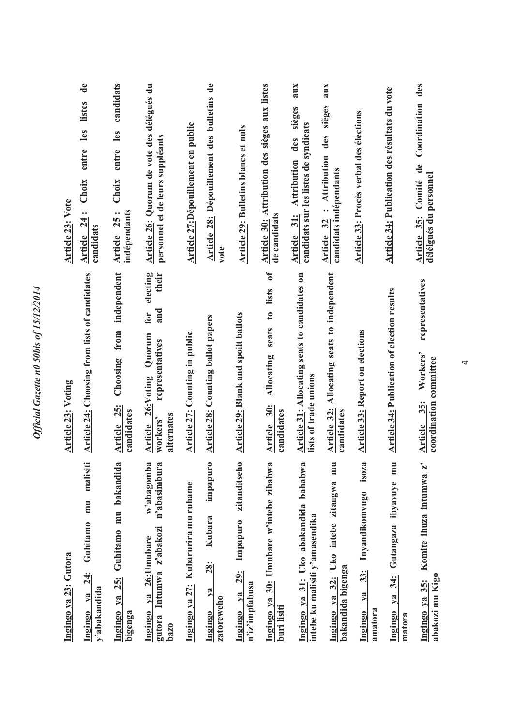| Ingingo ya 23: Gutora                                                                       | <b>Article 23: Voting</b>                                                                                 | Article 23: Vote                                                                                |
|---------------------------------------------------------------------------------------------|-----------------------------------------------------------------------------------------------------------|-------------------------------------------------------------------------------------------------|
| malisiti<br>mu<br>Guhitamo<br>$\frac{24}{3}$<br>y'abakandida<br>$v_{a}$<br>Ingingo          | Article 24: Choosing from lists of candidates                                                             | $\mathbf{d}\mathbf{e}$<br>listes<br>entre les<br>Choix<br>Article 24:<br>candidats              |
| 25: Guhitamo mu bakandida<br>Ingingo ya<br>bigenga                                          | independent<br>Choosing from<br>Article 25:<br>candidates                                                 | candidats<br>entre les<br>Choix<br>indépendants<br>Article 25:                                  |
| w'abagomba<br>n'abasimbura<br>Intumwa z'abakozi<br>Ingingo ya 26: Umubare<br>gutora<br>bazo | electing<br>their<br>and<br>for<br>Article 26: Voting Quorum<br>representatives<br>alternates<br>workers' | Article 26: Quorum de vote des délégués du<br>personnel et de leurs suppléants                  |
| Ingingo ya 27: Kubarurira mu ruhame                                                         | <b>Article 27:</b> Counting in public                                                                     | Article 27:Dépouillement en public                                                              |
| impapuro<br><b>Kubara</b><br><b>28:</b><br>ya<br>zatoreweho<br>Ingingo                      | <b>Article 28: Counting ballot papers</b>                                                                 | Article 28: Dépouillement des bulletins de<br>vote                                              |
| zitanditseho<br>Impapuro<br><b>29:</b><br>n'iz'impfabusa<br>$1$<br>Ingingo                  | Article 29: Blank and spoilt ballots                                                                      | Article 29: Bulletins blancs et nuls                                                            |
| Ingingo ya 30: Umubare w'intebe zihabwa<br>buri lisiti                                      | $\sigma$<br>lists<br>$\mathfrak{g}$<br>seats<br>Allocating<br>Article 30:<br>candidates                   | Article 30: Attribution des sièges aux listes<br>de candidats                                   |
| Ingingo ya 31: Uko abakandida bahabwa<br>intebe ku malisiti y'amasendika                    | Article 31: Allocating seats to candidates on<br>lists of trade unions                                    | aux<br>des sièges<br>candidats sur les listes de syndicats<br><b>Attribution</b><br>Article 31: |
| Ξ<br>Ē<br>Ingingo ya 32: Uko intebe zitangwa<br>bakandida bigenga                           | Article 32: Allocating seats to independent<br>candidates                                                 | aux<br>sièges<br>des<br>Article 32 : Attribution<br>candidats indépendants                      |
| isoza<br>Inyandikomvugo<br>33:<br>ya<br>amatora<br><b>Ingingo</b>                           | <b>Article 33: Report on elections</b>                                                                    | Article 33: Procès verbal des élections                                                         |
| Ξ<br>E<br>ibyavuye<br>Gutangaza<br>34:<br>ya<br>Ingingo<br>matora                           | <b>Article 34: Publication of election results</b>                                                        | Article 34: Publication des résultats du vote                                                   |
| $\mathbf{r}$<br>Komite ihuza intumwa<br>abakozi mu Kigo<br>Ingingo ya 35:                   | representatives<br>Workers'<br>coordination committee<br>35:<br>Article                                   | Article 35: Comité de Coordination des<br>délélgués du personnel                                |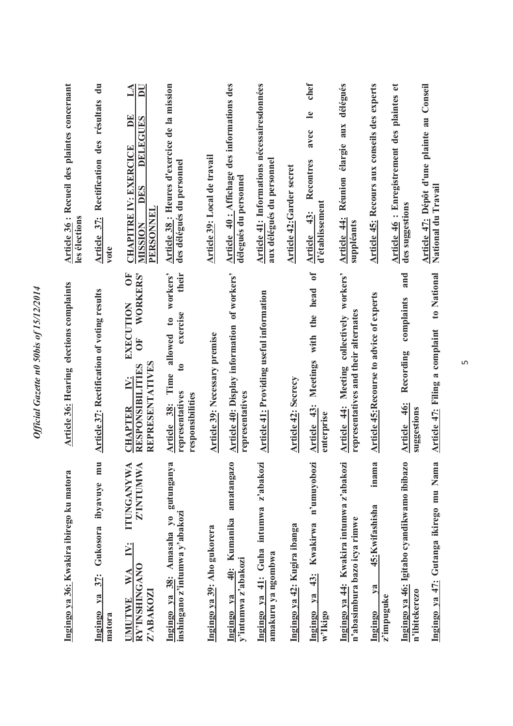| Ingingo ya 36: Kwakira ibirego ku matora                                                                                   | Article 36: Hearing elections complaints                                                                                                 | <b>Article 36: Recueil des plaintes concernant</b><br>les élections                                                                 |
|----------------------------------------------------------------------------------------------------------------------------|------------------------------------------------------------------------------------------------------------------------------------------|-------------------------------------------------------------------------------------------------------------------------------------|
| mu<br>Gukosora ibyavuye<br>Ingingo ya 37:<br>matora                                                                        | <b>Article 37: Rectification of voting results</b>                                                                                       | Article 37: Rectification des résultats du<br>vote                                                                                  |
| $\blacktriangle$<br>⋖<br><b>ITUNGANYW</b><br>Z'INTUMW<br>$\ddot{N}$ :<br>RY'INSHINGANO<br>WA<br>Z'ABAKOZI<br><b>JMUTWE</b> | ŎF<br><b>WORKERS'</b><br>EXECUTION<br>$\bf \overline 5$<br>REPRESENTATIVES<br>RESPONSIBILITIES<br>iN.<br><b>CHAPTER</b>                  | $\mathbf{\Delta}$<br>$\overline{\mathbf{D}}$<br>E<br>DELEGUES<br><b>CHAPITRE IV: EXERCICE</b><br>DES<br>PERSONNEI<br><b>MUSSION</b> |
| Ingingo ya 38: Amasaha yo gutunganya<br>inshingano z'intumwa y'abakozi                                                     | workers'<br>their<br>exercise<br>$\mathfrak{g}$<br>allowed<br>$\mathbf{c}$<br>Time<br>representatives<br>responsibilities<br>Article 38: | Article 38 : Heures d'exercice de la mission<br>des délégués du personnel                                                           |
| Ingingo ya 39: Aho gukorera                                                                                                | Article 39: Necessary premise                                                                                                            | Article 39: Local de travail                                                                                                        |
| amatangazo<br>40: Kumanika<br>y'intumwa z'abakozi<br>Ingingo ya                                                            | Article 40: Display information of workers'<br>representatives                                                                           | Article 40: Affichage des informations des<br>délegués du personnel                                                                 |
| Ingingo ya 41: Guha intumwa z'abakozi<br>amakuru ya ngombwa                                                                | <b>Article 41: Providing useful information</b>                                                                                          | Article 41: Informations nécessairesdonnées<br>aux délégués du personnel                                                            |
| Ingingo ya 42: Kugira ibanga                                                                                               | <b>Article 42: Secrecy</b>                                                                                                               | <b>Article 42: Garder secret</b>                                                                                                    |
| n'umuyobozi<br><b>Kwakirwa</b><br>$43$ :<br>ya<br>Ingingo<br>w'Ikigo                                                       | $\sigma$<br>head<br>the<br>with<br>Meetings<br>Article 43:<br>enterprise                                                                 | chef<br>$\mathbf{e}$<br>avec<br>Recontres<br>d'établissement<br>43:<br>Article                                                      |
| Ingingo ya 44: Kwakira intumwa z'abakozi<br>n'abasimbura bazo icya rimwe                                                   | workers'<br>representatives and their alternates<br>Article 44: Meeting collectively                                                     | aux délégués<br>Réunion élargie<br>Article 44:<br>suppléants                                                                        |
| inama<br>45: Kwifashisha<br>ya<br>z'impuguke<br>Ingingo                                                                    | Article 45: Recourse to advice of experts                                                                                                | Article 45: Recours aux conseils des experts                                                                                        |
| Ingingo ya 46: Igitabo cyandikwamo ibibazo<br>n'ibitekerezo                                                                | and<br>complaints<br>Recording<br>$\frac{46}{3}$<br>suggestions<br><b>Article</b>                                                        | Article 46 : Enregistrement des plaintes et<br>des suggestions                                                                      |
| Ingingo ya 47: Gutanga ikirego mu Nama                                                                                     | to National<br>Article 47: Filing a complaint                                                                                            | Article 47: Dépôt d'une plainte au Conseil<br>National du Travail                                                                   |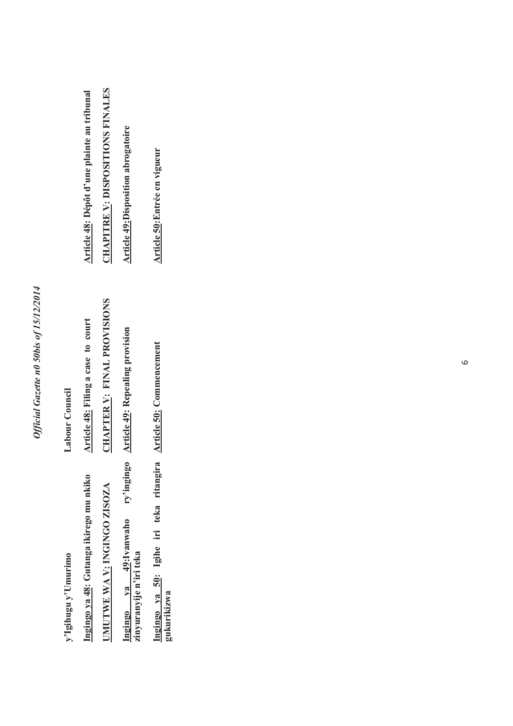## Official Gazette n0 50bis of 15/12/2014 *Official Gazette n0 50bis of 15/12/2014*

| Article 50: Entrée en vigueur<br>Article 50: Commencement                 | Ingingo ya 50: Igihe iri teka ritangira<br>Ingingo ya 48: Gutanga ikirego mu nkiko<br>UMUTWE WA V: INGINGO ZISOZA<br>Ingingo ya 49:Ivanwaho<br>zinyuranyije n'iri teka<br>y'Igihugu y'Umurimo<br>gukurikizwa | Labour Council | <b>CHAPITRE V: DISPOSITIONS FINALES</b><br>Article 48: Dépôt d'une plainte au tribunal<br><b>Article 49: Disposition abrogatoire</b> |
|---------------------------------------------------------------------------|--------------------------------------------------------------------------------------------------------------------------------------------------------------------------------------------------------------|----------------|--------------------------------------------------------------------------------------------------------------------------------------|
|                                                                           |                                                                                                                                                                                                              |                |                                                                                                                                      |
|                                                                           |                                                                                                                                                                                                              |                |                                                                                                                                      |
| CHAPTER V: FINAL PROVISIONS<br>ry'ingingo Article 49: Repealing provision |                                                                                                                                                                                                              |                |                                                                                                                                      |
| Article 48: Filing a case to court                                        |                                                                                                                                                                                                              |                |                                                                                                                                      |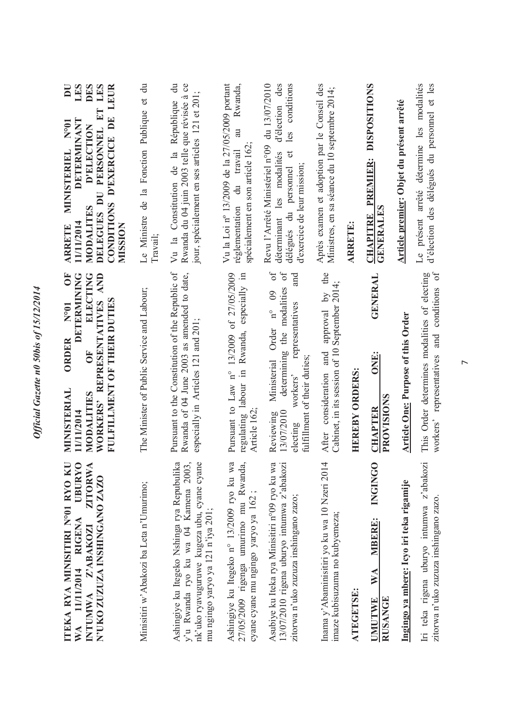| ITEKA RYA MINISITIRI Nº01 RYO KU<br><b>UBURYO</b><br><b>ZITORWA</b><br>N'UKO ZUZUZA INSHINGANO ZAZO<br>WA 11/11/2014 RIGENA<br>INTUMWA Z'ABAKOZI                       | Ŏ<br>WORKERS' REPRESENTATIVES AND<br>DETERMINING<br>ELECTING<br>FULFILLMENT OF THEIR DUTIES<br>$N^{\circ}01$<br><b>ORDER</b><br>Ğ<br>MINISTERIAL<br>MODALITIES<br>11/11/2014                | $\overline{\mathbf{D}}$<br>LES<br>DES<br>LES<br>CONDITIONS D'EXERCICE DE LEUR<br>PERSONNEL ET<br>DETERMINANT<br>N°01<br>D'ELECTION<br>MINISTERIEL<br>DII<br>MODALITES<br>DELEGUES<br>11/11/2014<br>MUSSION<br><b>ARRETE</b> |
|------------------------------------------------------------------------------------------------------------------------------------------------------------------------|---------------------------------------------------------------------------------------------------------------------------------------------------------------------------------------------|-----------------------------------------------------------------------------------------------------------------------------------------------------------------------------------------------------------------------------|
| Minisitiri w'Abakozi ba Leta n'Umurimo;                                                                                                                                | The Minister of Public Service and Labour;                                                                                                                                                  | Le Ministre de la Fonction Publique et du<br>Travail;                                                                                                                                                                       |
| y'u Rwanda ryo ku wa 04 Kamena 2003,<br>nk'uko ryavuguruwe kugeza ubu, cyane cyane<br>Ashingiye ku Itegeko Nshinga rya Repubulika<br>mu ngingo yaryo ya 121 n'iya 201; | Pursuant to the Constitution of the Republic of<br>Rwanda of 04 June 2003 as amended to date,<br>especially in Articles 121 and 201;                                                        | $\ddot{a}$<br>Rwanda du 04 juin 2003 telle que révisée à ce<br>jour, spécialement en ses articles 121 et 201;<br>Vu la Constitution de la République                                                                        |
| Ashingiye ku Itegeko n° 13/2009 ryo ku wa<br>27/05/2009 rigenga umurimo mu Rwanda,<br>cyane cyane mu ngingo yaryo ya 162;                                              | Pursuant to Law n° 13/2009 of 27/05/2009<br>regulating labour in Rwanda, especially in<br>Article 162;                                                                                      | Vu la Loi nº 13/2009 de la 27/05/2009 portant<br>Rwanda,<br>$\overline{a}$<br>spécialement en son article 162;<br>travail<br>réglementation du                                                                              |
| Asubiye ku Iteka rya Minisitiri n°09 ryo ku wa<br>13/07/2010 rigena uburyo intumwa z'abakozi<br>zitorwa n'uko zuzuza inshingano zazo;                                  | $\delta$ f<br>$0f$<br>and<br>determining the modalities<br>Order n° 09<br>representatives<br>fulfillment of their duties;<br>Ministerial<br>workers'<br>13/07/2010<br>Reviewing<br>electing | d'élection des<br>les conditions<br>du 13/07/2010<br>Revu l'Arrêté Ministériel n°09<br>$\sigma$<br>déterminant les modalités<br>d'exercice de leur mission;<br>délégués du personnel                                        |
| 4<br>Inama y'Abaminisitiri yo ku wa 10 Nzeri 201<br>imaze kubisuzuma no kubyemeza;                                                                                     | the<br>Cabinet, in its session of 10 September 2014;<br>approval by<br>and<br>consideration<br>After                                                                                        | Après examen et adoption par le Conseil des<br>Ministres, en sa séance du 10 septembre 2014;                                                                                                                                |
| ATEGETSE:                                                                                                                                                              | <b>HEREBY ORDERS:</b>                                                                                                                                                                       | <b>ARRETE:</b>                                                                                                                                                                                                              |
| <b>INGINGO</b><br><b>MBERE:</b><br>WA<br><b>RUSANGE</b><br><b>UMUTWE</b>                                                                                               | <b>GENERAL</b><br>ONE:<br>PROVISIONS<br>CHAPTER                                                                                                                                             | <b>DISPOSITIONS</b><br><b>CHAPITRE PREMIER:</b><br><b>GENERALES</b>                                                                                                                                                         |
| Ingingo ya mbere: Icyo iri teka rigamije                                                                                                                               | <b>Article One: Purpose of this Order</b>                                                                                                                                                   | Article premier: Objet du présent arrêté                                                                                                                                                                                    |
| Iri teka rigena uburyo intumwa z'abakozi<br>zitorwa n'uko zuzuza inshingano zazo.                                                                                      | This Order determines modalities of electing<br>workers' representatives and conditions of                                                                                                  | Le présent arrêté détermine les modalités<br>d'élection des délégués du personnel et les                                                                                                                                    |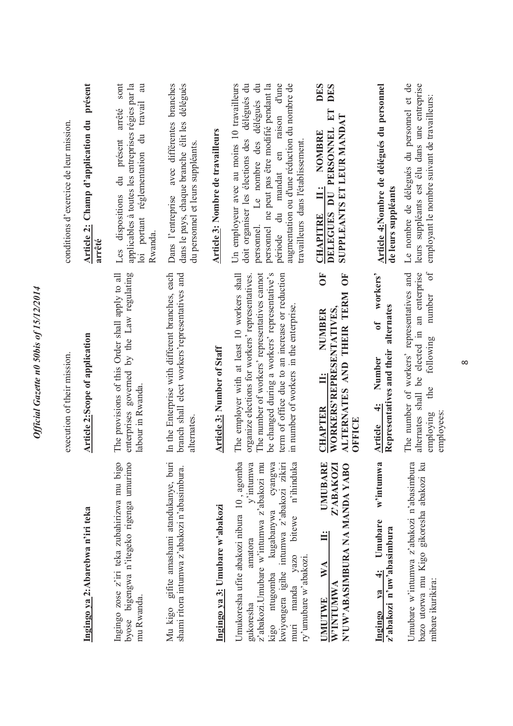|                                                                                                                                                                                                                                                                                                                             | execution of their mission.                                                                                                                                                                                                                                                                    | conditions d'exercice de leur mission                                                                                                                                                                                                                                                                                                    |
|-----------------------------------------------------------------------------------------------------------------------------------------------------------------------------------------------------------------------------------------------------------------------------------------------------------------------------|------------------------------------------------------------------------------------------------------------------------------------------------------------------------------------------------------------------------------------------------------------------------------------------------|------------------------------------------------------------------------------------------------------------------------------------------------------------------------------------------------------------------------------------------------------------------------------------------------------------------------------------------|
| Ingingo ya 2:Abarebwa n'iri teka                                                                                                                                                                                                                                                                                            | <b>Article 2:Scope of application</b>                                                                                                                                                                                                                                                          | Article 2: Champ d'application du présent<br>arrêté                                                                                                                                                                                                                                                                                      |
| $\circ$<br>$\circ$<br>Ingingo zose z'iri teka zubahirizwa mu big<br>byose bigengwa n'itegeko rigenga umurim<br>mu Rwanda.                                                                                                                                                                                                   | enterprises governed by the Law regulating<br>The provisions of this Order shall apply to all<br>labour in Rwanda                                                                                                                                                                              | sont<br>applicables à toutes les entreprises régies par la<br>au<br>travail<br>arrêté<br>loi portant réglementation du<br>présent<br>du<br>dispositions<br>Rwanda.<br>Les                                                                                                                                                                |
| Mu kigo gifite amashami atandukanye, buri<br>shami ritora intumwa z'abakozi n'abasimbura.                                                                                                                                                                                                                                   | In the Enterprise with different branches, each<br>branch shall elect workers' representatives and<br>alternates                                                                                                                                                                               | avec différentes branches<br>délégués<br>dans le pays, chaque branche élit les<br>du personnel et leurs suppléants.<br>Dans l'entreprise                                                                                                                                                                                                 |
| Ingingo ya 3: Umubare w'abakozi                                                                                                                                                                                                                                                                                             | Article 3: Number of Staff                                                                                                                                                                                                                                                                     | Article 3: Nombre de travailleurs                                                                                                                                                                                                                                                                                                        |
| ß<br>kıgo ntugomba kugabanywa cyangwa<br>kwiyongera igihe intumwa z'abakozi zikiri<br>⋍<br>ದ<br>Umukoresha ufite abakozi nibura 10, agomb<br>$v$ <sup>2</sup> inturnw<br>z'abakozi.Umubare w'intumwa z'abakozi m<br>n'ihinduk<br>kugabanywa<br>bitewe<br>amatora<br>yazo<br>ry'umubare w'abakozi<br>muri manda<br>gukoresha | be changed during a workers' representative's<br>The number of workers' representatives cannot<br>term of office due to an increase or reduction<br>The employer with at least 10 workers shall<br>organize elections for workers' representatives.<br>in number of workers in the enterprise. | Un employeur avec au moins 10 travailleurs<br>délégués du<br>Le nombre des délégués du<br>ne peut pas être modifié pendant la<br>mandat en raison d'une<br>augmentation ou d'une réduction du nombre de<br>doit organiser les élections des<br>travailleurs dans l'établissement<br>$\overline{a}$<br>personnel<br>personnel.<br>période |
| $\mathbf{r}$<br>Z'ABAKOZI<br>N'UW'ABASIMBURA NA MANDA YABO<br><b>UMUBAR</b><br>$\mathbb{X}^{\mathsf{A}}$<br>W'INTUMWA<br><b>TMULIME</b>                                                                                                                                                                                     | Ŏ<br>Č<br>ALTERNATES AND THEIR TERM<br>WORKERS'REPRESENTATIVES<br>NUMBER<br>Ë<br><b>CHAPTER</b><br>OFFICE                                                                                                                                                                                      | DES<br>DES<br>EI<br>SUPPLEANTS ET LEUR MANDAT<br>PERSONNEL<br><b>NOMBRE</b><br>CHAPITRE II:<br>DELEGUES DU                                                                                                                                                                                                                               |
| w'intumwa<br>Umubare<br>z'abakozi n'uw'abasimbura<br>$\ddot{+}$<br>$ya$<br>Ingingo                                                                                                                                                                                                                                          | workers'<br>alternates<br>$\mathfrak{gl}$<br>Representatives and their<br>Number<br>$\div$<br>Article                                                                                                                                                                                          | Article 4:Nombre de délégués du personnel<br>de leurs suppléants                                                                                                                                                                                                                                                                         |
| ā<br>bazo utorwa mu Kigo gikoresha abakozi ku<br>Umubare w'intumwa z'abakozi n'abasimbur<br>mibare ikurikira:                                                                                                                                                                                                               | $\sigma$ f<br>an enterprise<br>The number of workers' representatives and<br>number<br>elected in<br>following<br>alternates shall be<br>the<br>employees:<br>employing                                                                                                                        | Le nombre de délegués du personnel et de<br>leurs suppléants est élu dans une entreprise<br>employant le nombre suivant de travailleurs:                                                                                                                                                                                                 |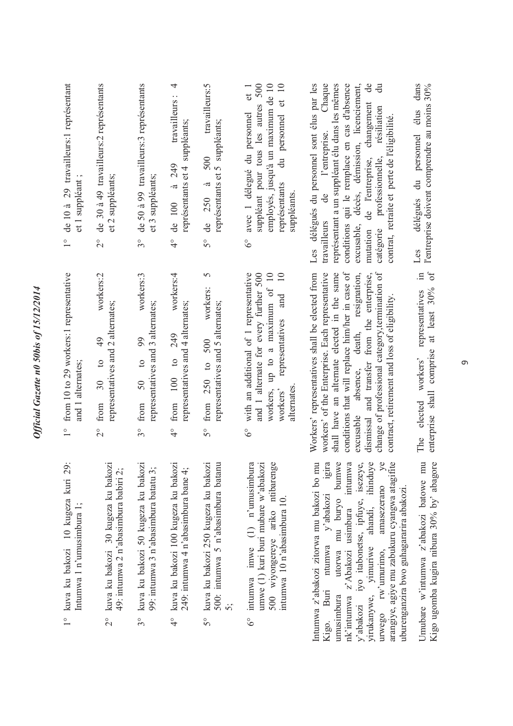| 1° de 10 à 29 travailleurs: l représentant<br>et 1 suppléant      | de 30 à 49 travailleurs: 2 représentants<br>et 2 suppléants;<br>$\overline{C}$                  | de 50 à 99 travailleurs:3 représentants<br>et 3 suppléants;<br>$3^{\circ}$                        | 4<br>travailleurs:<br>représentants et 4 suppléants;<br>de 100 à 249<br>$\frac{1}{4}$                   | travailleurs:5<br>représentants et 5 suppléants;<br>500<br>$\overline{a}$<br>de 250<br>$5^{\circ}$ | employés, jusqu'à un maximum de 10<br>$\overline{10}$<br>suppléant pour tous les autres 500<br>et 1<br>$\sigma$<br>du personnel<br>avec 1 délegué du personnel<br>représentants<br>suppléants.<br>$\delta^{\circ}$ | Les délégués du personnel sont élus par les<br>conditions qui le remplace en cas d'absence<br>décès, démission, licenciement,<br>$\mathbf{d}$ e<br>Chaque<br>représentant a un suppléant élu dans les mêmes<br>금<br>changement<br>résiliation<br>contrat, retraite et perte de l'éligibilité.<br>l'entreprise.<br>de l'entreprise,<br>professionnelle,<br>$\mathbf{d}\mathbf{e}$<br>travailleurs<br>excusable,<br>catégorie<br>mutation | dans<br>l'entreprise doivent comprendre au moins 30%<br>élus<br>délégués du personnel      |
|-------------------------------------------------------------------|-------------------------------------------------------------------------------------------------|---------------------------------------------------------------------------------------------------|---------------------------------------------------------------------------------------------------------|----------------------------------------------------------------------------------------------------|--------------------------------------------------------------------------------------------------------------------------------------------------------------------------------------------------------------------|-----------------------------------------------------------------------------------------------------------------------------------------------------------------------------------------------------------------------------------------------------------------------------------------------------------------------------------------------------------------------------------------------------------------------------------------|--------------------------------------------------------------------------------------------|
|                                                                   |                                                                                                 |                                                                                                   |                                                                                                         | 5                                                                                                  | $\approx$                                                                                                                                                                                                          |                                                                                                                                                                                                                                                                                                                                                                                                                                         | Les<br>$\sigma$ f<br>$\Xi$                                                                 |
| 1° from 10 to 29 workers:1 representative<br>and 1 alternates;    | workers:2<br>representatives and 2 alternates;<br>49<br>$\circ$<br>30<br>from<br>$\overline{C}$ | workers:3<br>representatives and 3 alternates;<br>$^{90}$<br>$\circ$<br>50<br>from<br>$3^{\circ}$ | workers:4<br>representatives and 4 alternates;<br>249<br>10 <sub>o</sub><br>from $100$<br>$\frac{1}{4}$ | workers:<br>representatives and 5 alternates;<br>500<br>from $250$ to<br>$5^{\circ}$               | with an additional of 1 representative<br>and 1 alternate for every further 500<br>up to a maximum of 10<br>and<br>representatives<br>alternates<br>workers,<br>workers'<br>$\delta^{\circ}$                       | conditions that will replace him/her in case of<br>change of professional category, termination of<br>Workers' representatives shall be elected from<br>shall have an alternate elected in the same<br>workers' of the Enterprise. Each representative<br>death, resignation,<br>dismissal and transfer from the enterprise,<br>contract, retirement and loss of eligibility.<br>excusable absence,                                     | at least 30%<br>representatives<br>enterprise shall comprise<br>workers'<br>elected<br>The |
| 1° kuva ku bakozi 10 kugeza kuri 29:<br>Intumwa 1 n'umusimbura 1; | kuva ku bakozi 30 kugeza ku bakozi<br>49: intumwa 2 n'abasimbura babiri 2;<br>$\frac{1}{2}$     | kuva ku bakozi 50 kugeza ku bakozi<br>99: intumwa 3 n'abasimbura batatu 3;<br>$3^{\circ}$         | kuva ku bakozi 100 kugeza ku bakozi<br>249: intumwa 4 n'abasimbura bane 4;<br>$\frac{1}{4}$             | kuva ku bakozi 250 kugeza ku bakozi<br>500: intumwa 5 n'abasimbura batanu<br>$5^{\circ}$           | intumwa imwe $(1)$ n'umusimbura<br>umwe $(1)$ kuri buri mubare w'abakozi<br>500 wiyongereye ariko ntibarenge<br>intumwa 10 n'abasimbura 10.<br>$6^{\circ}$                                                         | Intumwa z'abakozi zitorwa mu bakozi bo mu<br>bumwe<br>arangiye, agiye mu zabukuru cyangwa atagifite<br>igira<br>intumwa<br>iyo itabonetse, ipfuye, isezeye<br>ahandi, ihinduy<br>amasezerano<br>uburenganzira bwo guhagararira abakozi.<br>y'abakozi<br>utorwa mu buryo<br>z'Abakozi usimbura<br>ntumwa<br>yirukanywe, yimuriwe<br>urwego rw'umurimo,<br>Buri<br>nk'intumwa<br>umusimbura<br>y'abakozi<br>Kigo.                         | Kigo ugomba kugira nibura 30% by' abagore<br>Umubare w'intumwa z'abakozi batowe mu         |

*Official Gazette n0 50bis of 15/12/2014*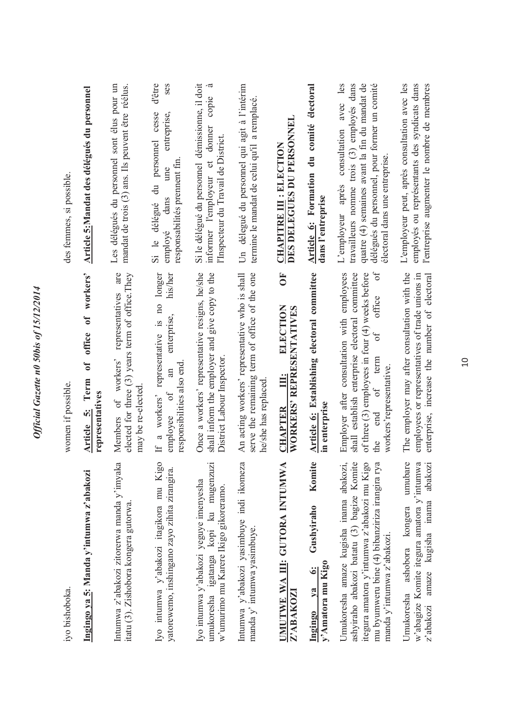| iyo bishoboka.                                                                                                                                                                                                     | women if possible.                                                                                                                                                                                                                  | des femmes, si possible.                                                                                                                                                                                                    |
|--------------------------------------------------------------------------------------------------------------------------------------------------------------------------------------------------------------------|-------------------------------------------------------------------------------------------------------------------------------------------------------------------------------------------------------------------------------------|-----------------------------------------------------------------------------------------------------------------------------------------------------------------------------------------------------------------------------|
| Ingingo ya 5: Manda y'intumwa z'abakozi                                                                                                                                                                            | workers'<br>$\mathbf{0}^{\mathbf{f}}$<br>office<br>$\mathfrak{h}$<br>5: Term<br>representatives<br><b>Article</b>                                                                                                                   | Article 5:Mandat des délégués du personnel                                                                                                                                                                                  |
| Intumwa z'abakozi zitorerwa manda y'imyaka<br>itatu (3). Zishobora kongera gutorwa.                                                                                                                                | are<br>elected for three (3) years term of office. They<br>representatives<br>Members of workers'<br>may be re-elected                                                                                                              | Les délégués du personnel sont élus pour un<br>mandat de trois (3) ans. Ils peuvent être réélus.                                                                                                                            |
| Iyo intumwa y'abakozi itagikora mu Kigo<br>yatorewemo, inshingano zayo zihita zirangira.                                                                                                                           | longer<br>his/her<br>$\overline{\mathbf{n}}$<br>enterprise,<br>representative is<br>responsibilities also end<br>$\mathbb{a}$<br>If a workers'<br>$\sigma$ f<br>employee                                                            | ses<br>d'être<br>Si le délégué du personnel cesse<br>entreprise,<br>responsabilités prement fin<br>une<br>dans<br>employé                                                                                                   |
| umukoresha igatanga kopi ku mugenzuz<br>Iyo intumwa y'abakozi yeguye imenyesha<br>w'umurimo mu Karere Ikigo gikoreramo.                                                                                            | Once a workers' representative resigns, he/she<br>shall inform the employer and give copy to the<br>District Labour Inspector.                                                                                                      | Si le délégué du personnel démissionne, il doit<br>à<br>copie<br>donner<br>l'Inspecteur du Travail de District.<br>$\sigma$<br>informer l'employeur                                                                         |
| Intumwa y'abakozi yasimbuye indi ikomeza<br>manda y' intumwa yasımbuye.                                                                                                                                            | serve the remaining term of office of the one<br>An acting workers' representative who is shall<br>he/she has replaced                                                                                                              | délegué du personnel qui agit à l'intérim<br>termine le mandat de celui qu'il a remplacé.<br>$\overline{5}$                                                                                                                 |
| <b>IMUTWE WA III: GUTORA INTUMWA</b><br>Z'ABAKOZI                                                                                                                                                                  | $\overline{\mathbf{C}}$<br>ELECTION<br>WORKERS' REPRESENTATIVES<br><u>illi</u><br><b>CHAPTER</b>                                                                                                                                    | DES DELEGUES DU PERSONNEL<br><b>CHAPITRE III : ELECTION</b>                                                                                                                                                                 |
| Komite<br>Gushyiraho<br>y'Amatora mu Kigo<br>$\ddot{\bullet}$<br>$1$<br>Ingingo                                                                                                                                    | Article 6: Establishing electoral committee<br>in enterprise                                                                                                                                                                        | Article 6: Formation du comité électoral<br>dans l'entreprise                                                                                                                                                               |
| ashyiraho abakozi batatu (3) bagize Komite<br>mu byumweru bine (4) bibanziriza irangira rya<br>Umukoresha amaze kugisha inama abakozi<br>itegura amatora y'intumwa z'abakozi mu Kigo<br>manda y'intumwa z'abakozi. | ЪÓ<br>Employer after consultation with employees<br>shall establish enterprise electoral committee<br>of three (3) employees in four (4) weeks before<br>office<br>ð<br>term<br>workers' representative.<br>$\circ$ f<br>end<br>the | consultation avec les<br>travailleurs nomme trois (3) employés dans<br>quatre (4) semaines avant la fin du mandat de<br>délégués du personnel, pour former un comité<br>électoral dans une entreprise.<br>L'employeur après |
| umubare<br>w'abagize Komite itegura amatora y'intumwa<br>abakoz<br>amaze kugisha inama<br>ashobora kongera<br>Umukoresha<br>z'abakozi                                                                              | The employer may after consultation with the<br>employees or representatives of trade unions in<br>enterprise, increase the number of electoral                                                                                     | L'employeur peut, après consultation avec les<br>employés ou représentants des syndicats dans<br>l'entreprise augmenter le nombre de membres                                                                                |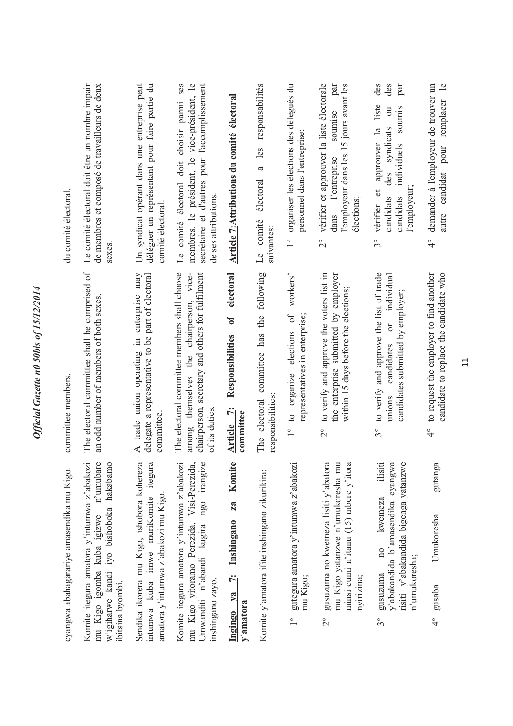| cyangwa abahagarariye amasendika mu Kigo.                                                                                                             | committee members.                                                                                                                                            | du comité électoral                                                                                                                                                                                          |
|-------------------------------------------------------------------------------------------------------------------------------------------------------|---------------------------------------------------------------------------------------------------------------------------------------------------------------|--------------------------------------------------------------------------------------------------------------------------------------------------------------------------------------------------------------|
| Komite itegura amatora y'intumwa z'abakozi<br>mu Kigo igomba kuba igizwe n'umubare<br>w'igiharwe kandi iyo bishoboka hakabamo<br>ibitsina byombi.     | The electoral committee shall be comprised of<br>an odd number of members of both sexes.                                                                      | Le comité électoral doit être un nombre impair<br>de membres et composé de travailleurs de deux<br>sexes                                                                                                     |
| Sendika ikorera mu Kigo, ishobora kohereza<br>itegura<br>amatora y'intumwa z'abakozi mu Kigo.<br>intumwa kuba imwe muriKomite                         | A trade union operating in enterprise may<br>delegate a representative to be part of electoral<br>committee                                                   | Un syndicat opérant dans une entreprise peut<br>déléguer un représentant pour faire partie du<br>comité électoral.                                                                                           |
| Komite itegura amatora y'intumwa z'abakozi<br>mu Kigo yitoramo Perezida, Visi-Perezida,<br>Umwanditi n'abandi kugira ngo irangize<br>inshingano zayo. | The electoral committee members shall choose<br>among themselves the chairperson, vice-<br>chairperson, secretary and others for fulfilment<br>of its duties. | Le comité électoral doit choisir parmi ses<br>membres, le président, le vice-président, le<br>secrétaire et d'autres pour l'accomplissement<br>de ses attributions.                                          |
| Komite<br>za<br>7: Inshingano<br>Ingingo ya<br>y'amatora                                                                                              | electoral<br>$\mathbf{0}$<br>Responsibilities<br>Article 7:<br>committee                                                                                      | Article 7: Attributions du comité électoral                                                                                                                                                                  |
| Komite y'amatora ifite inshingano zikurikira:                                                                                                         | following<br>committee has the<br>responsibilities:<br>The electoral                                                                                          | responsabilités<br>les<br>$\mathfrak{a}$<br>électoral<br>Le comité<br>suivantes:                                                                                                                             |
| gutegura amatora y'intumwa z'abakozi<br>mu Kigo;<br>$\frac{1}{1}$                                                                                     | workers'<br>$\circ$ f<br>representatives in enterprise;<br>elections<br>$1^{\circ}$ to organize                                                               | organiser les élections des délegués du<br>personnel dans l'entreprise;<br>$\frac{1}{1}$                                                                                                                     |
| gusuzuma no kwemeza lisiti y'abatora<br>mu Kigo yatanzwe n'umukoresha mu<br>minsi cumi n'itanu (15) mbere y'itora<br>nyirizina;<br>$\overline{2}$     | to verify and approve the voters list in<br>the enterprise submitted by employer<br>within 15 days before the elections;<br>$\overline{\mathcal{C}}$          | vérifier et approuver la liste électorale<br>l'employeur dans les 15 jours avant les<br>par<br>soumise<br>l'entreprise<br>élections;<br>dans<br>$\frac{1}{2}$                                                |
| ilisiti<br>y'abakandida b'amasendika cyangwa<br>risiti y'abakandida bigenga yatanzwe<br>no kwemeza<br>n'umukoresha;<br>gusuzuma<br>s°                 | to verify and approve the list of trade<br>individual<br>candidates submitted by employer;<br>$\sigma$<br>candidates<br>unions<br>$3^{\circ}$                 | des<br>des<br>par<br>liste<br>sounnis<br>$\overline{\text{ou}}$<br>syndicats<br>approuver la<br>individuels<br>des<br>$\sigma$<br>l'employeur<br>candidats<br>candidats<br>vérifier<br>$\mathcal{S}^{\circ}$ |
| gutanga<br>Umukoresha<br>gusaba<br>$\frac{1}{4}$                                                                                                      | to request the employer to find another<br>candidate to replace the candidate who<br>$\frac{1}{4}$                                                            | $\frac{1}{\sqrt{2}}$<br>4° demander à l'employeur de trouver un<br>pour remplacer<br>candidat<br>autre                                                                                                       |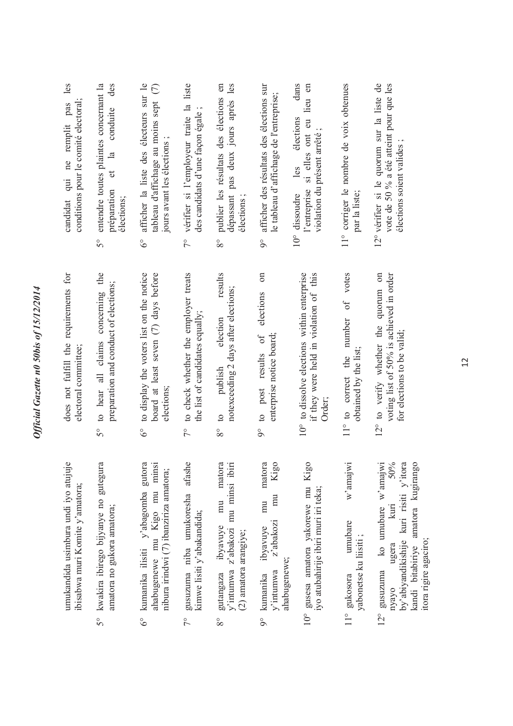| umukandida usimbura undi iyo atujuje<br>ibisabwa muri Komite y'amatora;                                                                                       | does not fulfill the requirements for<br>electoral committee;                                                      | les<br>conditions pour le comité electoral;<br>ne remplit pas<br>qui<br>candidat                                                      |
|---------------------------------------------------------------------------------------------------------------------------------------------------------------|--------------------------------------------------------------------------------------------------------------------|---------------------------------------------------------------------------------------------------------------------------------------|
| kwakira ibirego bijyanye no gutegura<br>amatora no gukora amatora;<br>$5^{\circ}$                                                                             | to hear all claims concerning the<br>preparation and conduct of elections;<br>50                                   | des<br>entendre toutes plaintes concernant la<br>conduite<br>$\frac{a}{a}$<br>đ<br>préparation<br>élections;<br>$\mathcal{S}^{\circ}$ |
| kumanika ilisiti y'abagomba gutora<br>ahabugenewe mu Kigo mu minsi<br>nibura irindwi (7) ibanziriza amatora;<br>$\delta^{\circ}$                              | to display the voters list on the notice<br>board at least seven (7) days before<br>elections;<br>$\delta^{\circ}$ | afficher la liste des électeurs sur le<br>tableau d'affichage au moins sept (7)<br>jours avant les élections;<br>$\delta^\circ$       |
| gusuzuma niba umukoresha afashe<br>kimwe lisiti y'abakandida;<br>$\frac{1}{2}$                                                                                | 7° to check whether the employer treats<br>the list of candidates equally;                                         | 7° vérifier si l'employeur traite la liste<br>des candidats d'une façon égale                                                         |
| matora<br>y'intumwa z'abakozi mu minsi ibiri<br>mu<br>ibyavuye<br>(2) amatora arangiye;<br>gutangaza<br>$8^{\circ}$                                           | results<br>notexceeding 2 days after elections;<br>election<br>publish<br>$\circ$<br>$8^{\circ}$                   | dépassant pas deux jours après les<br>publier les résultats des élections en<br>élections;<br>$8^{\circ}$                             |
| matora<br>Kigo<br>mu<br>mu<br>z'abakozi<br>ibyavuye<br>ahabugenewe;<br>v'intumwa<br>kumanika<br>$\int_{0}^{\infty}$                                           | $\sin$<br>elections<br>enterprise notice board;<br>to post results of<br>$\delta$                                  | afficher des résultats des élections sur<br>le tableau d'affichage de l'entreprise;<br>$9^\circ$                                      |
| 10° gusesa amatora yakorewe mu Kigo<br>iyo atubahirije ibiri muri iri teka;                                                                                   | if they were held in violation of this<br>10° to dissolve elections within enterprise<br>Order;                    | dans<br>si elles ont eu lieu en<br>élections<br>violation du présent arrêté;<br>les<br>l'entreprise<br>10° dissoudre                  |
| $w$ 'amaj $w$ i<br>umubare<br>yabonetse ku liisiti;<br>11° gukosora                                                                                           | votes<br>$\sigma$ f<br>11° to correct the number<br>obtained by the list;                                          | 11° corriger le nombre de voix obtenues<br>par la liste;                                                                              |
| 50%<br>by'abiyandikishije kuri risiti y'itora<br>amatora kugirango<br>ko umubare w'amajwi<br>k<br>ugera<br>kandi bitabiriye<br>$12^{\circ}$ gusuzuma<br>nyayo | 12° to verify whether the quorum on<br>voting list of 50% is achieved in order<br>for elections to be valid;       | 12° vérifier si le quorum sur la liste de<br>vote de 50 % a été atteint pour que les<br>élections soient valides;                     |

 $8^{\circ}$ 

itora rigire agaciro;

itora rigire agaciro;

*Official Gazette n0 50bis of 15/12/2014* 

Official Gazette n0 50bis of 15/12/2014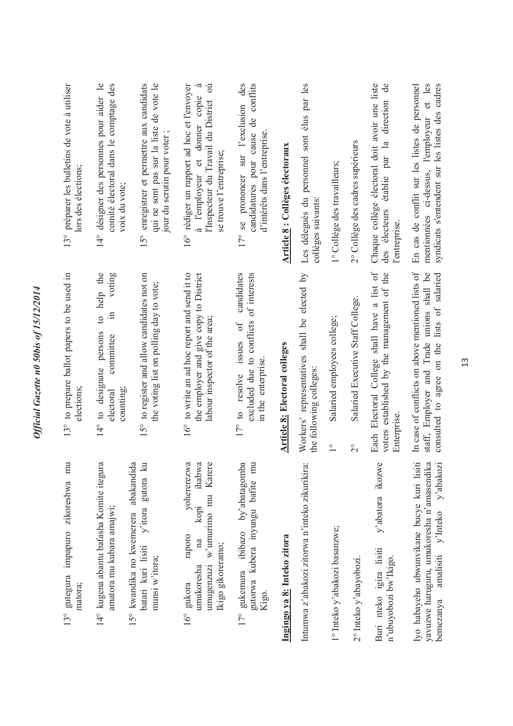| 13° préparer les bulletins de vote à utiliser<br>lors des élections;   | 14° désigner des personnes pour aider le<br>comité électoral dans le comptage des<br>voix du vote; | 15° enregistrer et permettre aux candidats<br>qui ne sont pas sur la liste de vote le<br>jour du scrutin pour voter; | l'Inspecteur du Travail du District où<br>16° rédiger un rapport ad hoc et l'envoyer<br>à<br>à l'employeur et donner copie<br>se trouve l'entreprise; | prononcer sur l'exclusion des<br>candidatures pour cause de conflits<br>d'intérêts dans l'entreprise<br>se<br>$17^{\circ}$ | Article 8 : Collèges électoraux      | Les délegués du personnel sont élus par les<br>collèges suivants:       | 1° Collège des travailleurs;                                  | 2° Collège des cadres supérieurs                    | Chaque collège électoral doit avoir une liste<br>$\rm{de}$<br>direction<br>établie par la<br>des électeurs<br>l'entreprise. | mentionnées ci-dessus, l'employeur et les<br>syndicats s'entendent sur les listes des cadres<br>En cas de conflit sur les listes de personnel |
|------------------------------------------------------------------------|----------------------------------------------------------------------------------------------------|----------------------------------------------------------------------------------------------------------------------|-------------------------------------------------------------------------------------------------------------------------------------------------------|----------------------------------------------------------------------------------------------------------------------------|--------------------------------------|-------------------------------------------------------------------------|---------------------------------------------------------------|-----------------------------------------------------|-----------------------------------------------------------------------------------------------------------------------------|-----------------------------------------------------------------------------------------------------------------------------------------------|
| 13° to prepare ballot papers to be used in<br>elections;               | to help the<br>voting<br>$\Xi$<br>14° to designate persons<br>committee<br>counting;<br>electoral  | 15° to register and allow candidates not on<br>the voting list on polling day to vote;                               | 16° to write an ad hoc report and send it to<br>the employer and give copy to District<br>labour inspector of the area;                               | candidates<br>of interests<br>excluded due to conflicts<br>17° to resolve issues of<br>in the enterprise.                  | <b>Article 8: Electoral colleges</b> | Workers' representatives shall be elected by<br>the following colleges: | Salaried employees college;<br>$\overset{\circ}{\phantom{0}}$ | Salaried Executive Staff College.<br>$\overline{C}$ | Each Electoral College shall have a list of<br>voters established by the management of the<br>Enterprise                    | In case of conflicts on above mentioned lists of<br>staff, Employer and Trade unions shall be<br>consulted to agree on the lists of salaried  |
| mu<br>zikoreshwa<br>impapuro<br>gutegura<br>matora;<br>13 <sup>°</sup> | 14° kugena abantu bafasha Komite itegura<br>amatora mu kubara amajwi;                              | 15° kwandika no kwemerera abakandida<br>y'itora gutora ku<br>batari kuri lisiti<br>munsi w'itora;                    | ihabwa<br>Karere<br>yohererezwa<br>$w'$ umurimo mu<br>kopi<br>raporo<br>na<br>Ikigo gikoreramo;<br>umugenzuzi<br>umukoresha<br>16° gukora             | 17° gukemura ibibazo by'abatagomba<br>gutorwa kubera inyungu bafite mu<br>Kigo.                                            | Ingingo ya 8: Inteko zitora          | Intumwa z'abakozi zitorwa n'inteko zikurikira:                          | 1° Inteko y'abakozi basanzwe;                                 | 2° Inteko y'abayobozi.                              | O<br>$v$ 'abatora ikozw<br>Buri nteko igira lisiti<br>n'ubuyobozi bw'Ikigo.                                                 | Iyo habayeho ubwunvikane bucye kuri lisiti<br>yavuzwe haruguru, umukoresha n'amasendika<br>y'abakozi<br>amalisiti y'Inteko<br>bemezanya       |

*Official Gazette n0 50bis of 15/12/2014* 

Official Gazette n0 50bis of 15/12/2014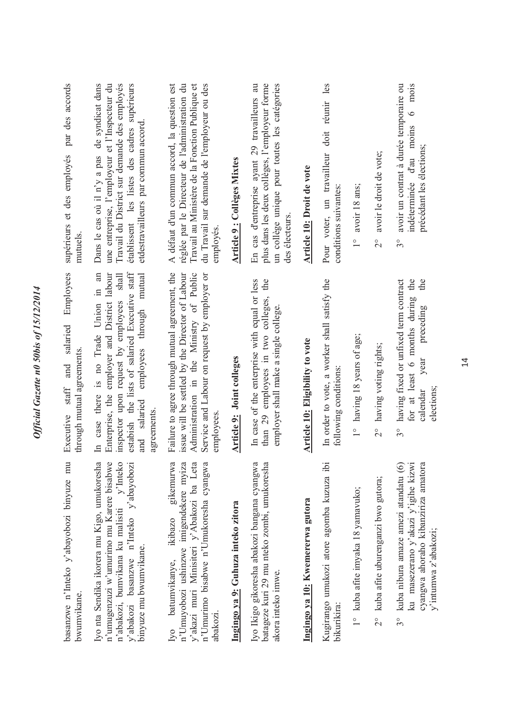| par des accords<br>supérieurs et des employés<br>mutuels.<br>Employees<br>salaried | établissent les listes des cadres supérieurs<br>une entreprise, l'employeur et l'Inspecteur du<br>Travail du District sur demande des employés<br>Dans le cas où il n'y a pas de syndicat dans<br>etdestravailleurs par commun accord<br>shall<br>mutual<br>through | A défaut d'un commun accord, la question est<br>réglée par le Directeur de l'administration du<br>Travail au Ministère de la Fonction Publique et<br>du Travail sur demande de l'employeur ou des<br>employés         | Article 9 : Collèges Mixtes        | plus dans les deux collèges, l'employeur forme<br>un collège unique pour toutes les catégories<br>En cas d'entreprise ayant 29 travailleurs au<br>des électeurs.<br>the | <b>Article 10: Droit de vote</b>       | doit réunir les<br>Pour voter, un travailleur<br>conditions suivantes: | avoir 18 ans;<br>$\frac{1}{1}$    | avoir le droit de vote;<br>$\frac{1}{2}$ | avoir un contrat à durée temporaire ou<br>$\circ$<br>indéterminée d'au moins<br>précédant les élections;<br>$3^{\circ}$<br>the<br>the<br>preceding        |
|------------------------------------------------------------------------------------|---------------------------------------------------------------------------------------------------------------------------------------------------------------------------------------------------------------------------------------------------------------------|-----------------------------------------------------------------------------------------------------------------------------------------------------------------------------------------------------------------------|------------------------------------|-------------------------------------------------------------------------------------------------------------------------------------------------------------------------|----------------------------------------|------------------------------------------------------------------------|-----------------------------------|------------------------------------------|-----------------------------------------------------------------------------------------------------------------------------------------------------------|
| through mutual agreements.<br>and<br>$\operatorname{staff}$<br>Executive           | estabish the lists of salaried Executive staff<br>In case there is no Trade Union in an<br>Enterprise, the employer and District labour<br>inspector upon request by employees<br>employees<br>and salaried<br>agreements.                                          | Failure to agree through mutual agreement, the<br>issue will be settled by the Director of Labour<br>Administration in the Ministry of Public<br>Service and Labour on request by employer or<br>employees.           | <b>Article 9: Joint colleges</b>   | In case of the enterprise with equal or less<br>than 29 employees in two colleges,<br>employer shall make a single college.                                             | <b>Article 10: Eligibility to vote</b> | In order to vote, a worker shall satisfy the<br>following conditions:  | 1° having 18 years of age;        | having voting rights;<br>$\frac{1}{2}$   | having fixed or unfixed term contract<br>for at least 6 months during<br>year<br>elections;<br>calendar<br>$3^{\circ}$                                    |
| basanzwe n'Inteko y'abayobozi binyuze mu<br>bwumvikane.                            | $\circ$<br>a<br>n'abakozi, bumvikana ku malisiti y'Inteko<br>y'abakozi basanzwe n'Inteko y'abayobozi<br>Iyo nta Sendika ikorera mu Kigo, umukoresh<br>n'umugenzuzi w'umurimo mu Karere bisabw<br>binyuze mu bwumvikane.                                             | ß<br>ā<br>ā<br>ā<br>gikemurw<br>n'Umuyobozi ushinzwe imigendekere myiz<br>y'akazi muri Minisiteri y'Abakozi ba Let<br>n'Umurimo bisabwe n'Umukoresha cyangw<br>ikibazo<br>batumvikanye,<br>abakozi.<br>$\overline{N}$ | Ingingo ya 9: Guhuza inteko zitora | 2<br>a<br>Iyo Ikigo gikoresha abakozi bangana cyangw<br>batageze kuri 29 mu nteko zombi, umukoresh<br>akora inteko imwe.                                                | Ingingo ya 10: Kwemererwa gutora       | Kugirango umukozi atore agomba kuzuza ibi<br>bikurikira:               | 1° kuba afite imyaka 18 yamavuko; | 2° kuba afite uburenganzi bwo gutora;    | cyangwa ahoraho kibanziriza amatora<br>ku masezerano y'akazi y'igihe kizwi<br>kuba nibura amaze amezi atandatu (6)<br>y'intumwa z'abakozi;<br>$3^{\circ}$ |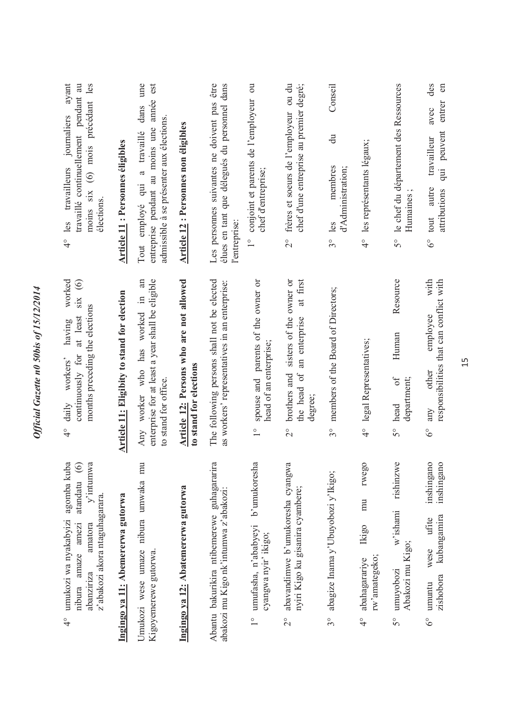| ayant<br>moins six (6) mois précédant les<br>pendant au<br>journaliers<br>travaillé continuellement<br>travailleurs<br>élections.<br>les<br>$\frac{1}{4}$                               | Article 11 : Personnes éligibles            | une<br>est<br>entreprise pendant au moins une année<br>dans<br>admissible à se présenter aux élections<br>employé qui a travaillé<br>Tout | Article 12 : Personnes non éligibles                              | élues en tant que délegués du personnel dans<br>être<br>Les personnes suivantes ne doivent pas<br>l'entreprise: | conjoint et parents de l'employeur ou<br>chef d'entreprise;<br>$\frac{1}{1}$             | chef d'une entreprise au premier degré;<br>frères et soeurs de l'employeur ou du<br>$\frac{1}{2}$               | Conseil<br>$\ddot{a}$<br>membres<br>d'Administration;<br>$3^{\circ}$ les | 4° les représentants légaux;                                            | le chef du département des Ressources<br>Humaines<br>50                | des<br>$\epsilon$<br>entrer<br>avec<br>peuvent<br>travailleur<br>$\overline{a}$<br>autre<br>attributions<br>tout<br>$\delta^{\circ}$ |
|-----------------------------------------------------------------------------------------------------------------------------------------------------------------------------------------|---------------------------------------------|-------------------------------------------------------------------------------------------------------------------------------------------|-------------------------------------------------------------------|-----------------------------------------------------------------------------------------------------------------|------------------------------------------------------------------------------------------|-----------------------------------------------------------------------------------------------------------------|--------------------------------------------------------------------------|-------------------------------------------------------------------------|------------------------------------------------------------------------|--------------------------------------------------------------------------------------------------------------------------------------|
| worked<br>$\text{SIX}$ (6)<br>months preceding the elections<br>at least<br>having<br>continuously for<br>workers'<br>daily<br>$\frac{1}{4}$                                            | Article 11: Eligibity to stand for election | an<br>enterprise for at least a year shall be eligible<br>$\equiv$<br>Any worker who has worked<br>to stand for office.                   | Article 12: Persons who are not allowed<br>to stand for elections | The following persons shall not be elected<br>as workers' representatives in an enterprise:                     | spouse and parents of the owner or<br>head of an enterprise;<br>$\frac{1}{\sqrt{2}}$     | sisters of the owner or<br>at first<br>an enterprise<br>brothers and<br>the head of<br>degree;<br>$\frac{1}{2}$ | members of the Board of Directors;<br>30                                 | 4° legal Representatives;                                               | Resource<br>Human<br>department;<br>$\sigma$ f<br>head<br>50           | with<br>responsibilities that can conflict with<br>employee<br>other<br>any<br>$\delta^{\circ}$                                      |
| agomba kuba<br>$y'$ intumwa<br>$\odot$<br>atandatu<br>z'abakozi akora ntaguhagarara.<br>umukozi wa nyakabyizi<br>amatora<br>amaze amezi<br>abanziriza<br>nibura<br>$\frac{1}{\sqrt{2}}$ | Ingingo ya 11: Abemererwa gutorwa           | Umukozi wese umaze nibura umwaka mu<br>Kigoyemerewe gutorwa                                                                               | Ingingo ya 12: Abatemererwa gutorwa                               | Abantu bakurikira ntibemerewe guhagararira<br>abakozi mu Kigo nk'intumwa z'abakozi:                             | đ<br>b'umukoresh<br>umufasha, n'ababyeyi<br>cyangwa nyir' ikigo;<br>$\frac{1}{\sqrt{2}}$ | abavandimwe b'umukoresha cyangwa<br>nyiri Kigo ku gisanira cyambere;<br>$\frac{1}{2}$                           | abagize Inama y'Ubuyobozi y'Ikigo;<br>30                                 | rwego<br>mu<br>Ikigo<br>rw'amategeko;<br>abahagarariye<br>$\frac{6}{4}$ | $\circ$<br>rishinzw<br>w'ishami<br>Abakozi mu Kigo;<br>umuyobozi<br>50 | inshingano<br>inshingano<br>kubangamira<br>ufite<br>wese<br>zishobora<br>umuntu<br>$6^\circ$                                         |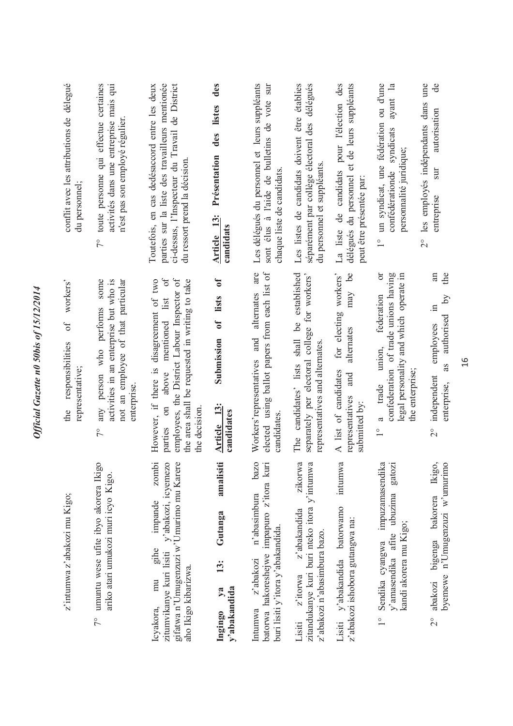| conflit avec les attributions de délegué<br>du personnel;    | toute personne qui effectue certaines<br>activités dans une entreprise mais qui<br>n'est pas son employé régulier<br>$7^{\circ}$                     | parties sur la liste des travailleurs mentionée<br>Toutefois, en cas dedésaccord entre les deux<br>ci-dessus, l'Inspecteur du Travail de District<br>du ressort prend la décision.<br>of                   | des<br>listes<br>des<br>Présentation<br><b>Article</b> 13:<br>candidats<br>$\sigma$ | Les délégués du personnel et leurs suppléants<br>sont élus à l'aide de bulletins de vote sur<br>chaque liste de candidats.<br>are | Les listes de candidats doivent être établies<br>délégués<br>séparément par collège électoral des<br>du personnel et suppléants.  | de candidats pour l'élection des<br>délégués du personnel et de leurs suppléants<br>peut être présentée par:<br>La liste<br>$\mathbf{e}$ | un syndicat, une fédération ou d'une<br>ayant la<br>confédérationde syndicats<br>personnalité juridique;<br>ð                                                             | les employés indépendants dans une<br>de<br>autorisation<br>$\overline{\text{S}}$<br>entreprise<br>$\frac{1}{2}$<br>an<br>the |
|--------------------------------------------------------------|------------------------------------------------------------------------------------------------------------------------------------------------------|------------------------------------------------------------------------------------------------------------------------------------------------------------------------------------------------------------|-------------------------------------------------------------------------------------|-----------------------------------------------------------------------------------------------------------------------------------|-----------------------------------------------------------------------------------------------------------------------------------|------------------------------------------------------------------------------------------------------------------------------------------|---------------------------------------------------------------------------------------------------------------------------------------------------------------------------|-------------------------------------------------------------------------------------------------------------------------------|
| workers'<br>of<br>responsibilities<br>representative;<br>the | some<br>activities in an enterprise but who is<br>not an employee of that particular<br>any person who performs<br>enterprise<br>$\tilde{7}^{\circ}$ | employees, the District Labour Inspector of<br>However, if there is disagreement of two<br>the area shall be requested in writing to take<br>mentioned list<br>above<br>$\sin$<br>the decision.<br>parties | lists<br>$\sigma$<br>Submission<br>Article 13<br>candidates                         | elected using ballot papers from each list of<br>and alternates<br>Workers' representatives<br>candidates                         | established<br>separately per electoral college for workers'<br>The candidates' lists shall be<br>representatives and alternates. | for electing workers'<br>may<br>alternates<br>A list of candidates<br>and<br>representatives<br>submitted by:                            | confederation of trade unions having<br>legal personality and which operate in<br>federation<br>union,<br>the enterprise;<br>trade<br>a<br>$\overset{\circ}{\phantom{0}}$ | $\overline{\mathsf{bd}}$<br>$\Xi$<br>authorised<br>employees<br>as<br>independent<br>enterprise,<br>$\frac{1}{2}$             |
| z'intumwa z'abakozi mu Kigo;                                 | umuntu wese ufite ibyo akorera Ikigo<br>ariko atari umukozi muri icyo Kigo.<br>$7^{\circ}$                                                           | zombi<br>y'abakozi, icyemezo<br>gifatwa n'Umugenzuzi w'Umurimo mu Karere<br>impande<br>gihe<br>zitumvikanye kuri lisiti<br>aho Ikigo kibarizwa.<br>mu<br>Icyakora,                                         | amalisiti<br>Gutanga<br>13:<br>y'abakandida<br>$y$ a<br>Ingingo                     | bazo<br>batorwa hakoreshejwe impapuro z'itora kuri<br>n'abasimbura<br>buri lisiti y'itora y'abakandida.<br>z'abakozi<br>Intumwa   | zikorwa<br>zitandukanye kuri buri nteko itora y'intumwa<br>z'abakandida<br>z'abakozi n'abasimbura bazo.<br>z'itorwa<br>Lisiti     | intumwa<br>Lisiti y'abakandida batorwamo<br>z'abakozi ishobora gutangwa na:                                                              | impuzamasendika<br>gatozi<br>y'amasendika afite ubuzima<br>kandi akorera mu Kigo;<br>Sendika cyangwa<br>$\frac{1}{1}$                                                     | Ikigo,<br>byemewe n'Umugenzuzi w'umurimo<br>bigenga bakorera<br>abakozi<br>$\frac{1}{2}$                                      |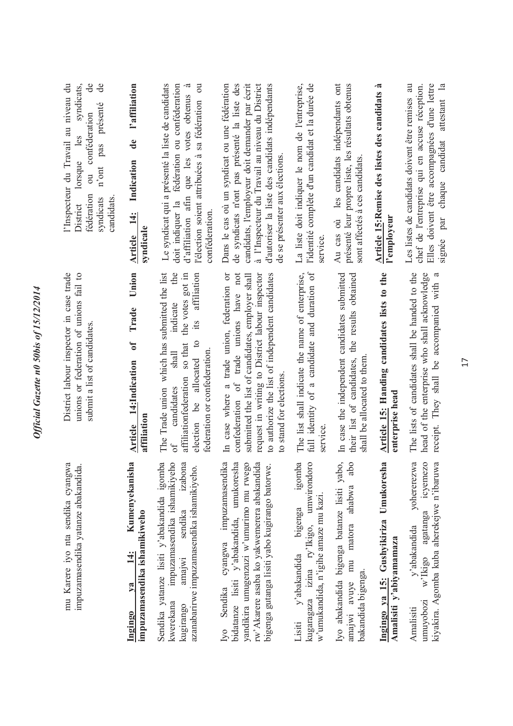| de<br>e<br>syndicats,<br>l'Inspecteur du Travail au niveau du<br>présenté<br>conféderation<br>les<br>pas<br>lorsque<br>n'ont<br>$\overline{\text{d}}$<br>fédération<br>candidats.<br>syndicats<br>District | l'affiliation<br>$\mathbf{d}\mathbf{e}$<br>Indication<br>Article 14:<br>syndicale  | doit indiquer la fédération ou conféderation<br>Le syndicat qui a présenté la liste de candidats<br>l'élection soient attribuées à sa fédération ou<br>d'affiliation afin que les votes obtenus à<br>conféderation                                                       | Dans le cas où un syndicat ou une fédération<br>de syndicats n'ont pas présenté la liste des<br>candidats, l'employeur doit demander par écrit<br>à l'Inspecteur du Travail au niveau du District<br>d'autoriser la liste des candidats indépendants<br>de se présenter aux élections. | l'identité complète d'un candidat et la durée de<br>La liste doit indiquer le nom de l'entreprise,<br>service                 | Au cas où les candidats indépendants ont<br>présenté leur propre liste, les résultats obtenus<br>sont affectés à ces candidats. | Article 15:Remise des listes des candidats à<br>l'employeur       | Elles doivent être accompagnées d'une lettre<br>Les listes de candidats doivent être remises au<br>chef de l'entreprise qui en accuse réception.<br>signée par chaque candidat attestant la |
|------------------------------------------------------------------------------------------------------------------------------------------------------------------------------------------------------------|------------------------------------------------------------------------------------|--------------------------------------------------------------------------------------------------------------------------------------------------------------------------------------------------------------------------------------------------------------------------|----------------------------------------------------------------------------------------------------------------------------------------------------------------------------------------------------------------------------------------------------------------------------------------|-------------------------------------------------------------------------------------------------------------------------------|---------------------------------------------------------------------------------------------------------------------------------|-------------------------------------------------------------------|---------------------------------------------------------------------------------------------------------------------------------------------------------------------------------------------|
| District labour inspector in case trade<br>unions or federation of unions fail to<br>submit a list of candidates.                                                                                          | Union<br>Trade<br>$\sigma$<br>14:Indication<br>affiliation<br><b>Article</b>       | The Trade union which has submitted the list<br>the<br>the votes got in<br>affiliation<br>indicate<br>$\ddot{\text{11}}$<br>$\mathbf{c}$<br>so that<br>federation or confederation.<br>shall<br>election be allocated<br>affiliationfederation<br>candidates<br>$\sigma$ | In case where a trade union, federation or<br>confederation of trade unions have not<br>to authorize the list of independent candidates<br>submitted the list of candidates, employer shall<br>request in writing to District labour inspector<br>to stand for elections.              | full identity of a candidate and duration of<br>The list shall indicate the name of enterprise,<br>service                    | In case the independent candidates submitted<br>their list of candidates, the results obtained<br>shall be allocated to them    | Article 15: Handing candidates lists to the<br>enterprise head    | The lists of candidates shall be handed to the<br>head of the enterprise who shall acknowledge<br>receipt. They shall be accompanied with a                                                 |
| mu Karere iyo nta sendika cyangwa<br>impuzamasendika yatanze abakandida.                                                                                                                                   | Kumenyekanisha<br>impuzamasendika ishamikiweho<br>14:<br>$\mathbf{v}$ a<br>Ingingo | Sendika yatanze lisiti y'abakandida igomba<br>impuzamasendika ishamikiyeho<br>sendika izabona<br>azanabarirwe impuzamasendika ishamikiyeho.<br>amajwi<br>kwerekana<br>kugirango                                                                                          | bidatanze lisiti y'abakandida, umukoresha<br>cyangwa impuzamasendika<br>yandikira umugenzuzi w'umurimo mu rwego<br>rw'Akarere asaba ko yakwemerera abakandida<br>bigenga gutanga lisiti yabo kugirango batorwe.<br>Sendika<br>1 <sub>Y</sub>                                           | igomba<br>kugaragaza izina ry'lkigo, umwirondoro<br>w'umukandida, n'igihe amaze mu kazi.<br>bigenga<br>y'abakandida<br>Lisiti | Iyo abakandida bigenga batanze lisiti yabo,<br>abo<br>amajwi avuye mu matora ahabwa<br>bakandida bigenga.                       | Ingingo ya 15: Gushyikiriza Umukoresha<br>Amalisiti y'abiyamamaza | icyemezo<br>kiyakira. Agomba kuba aherekejwe n'ibaruwa<br>vohererezwa<br>w'lkigo agatanga<br>y'abakandida<br>umuyobozi<br>Amalisiti                                                         |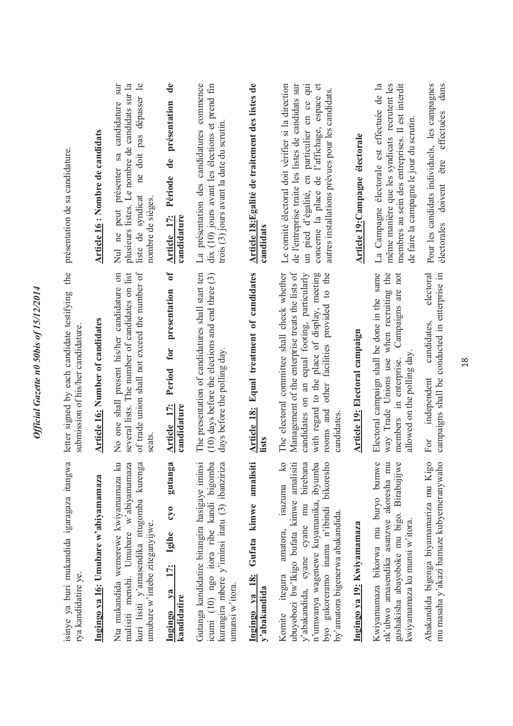| présentation de sa candidature.<br>the<br>letter signed by each candidate testifying<br>submission of his/her candidature | Article 16 : Nombre de candidats<br><b>Article 16: Number of candidates</b> | ne doit pas dépasser le<br>plusieurs listes. Le nombre de candidats sur la<br>candidature sur<br>Nul ne peut présenter sa<br>liste de syndicat<br>nombre de sièges.<br>of trade union shall not exceed the number of<br>No one shall present his/her candidature on<br>several lists. The number of candidates on list<br>seats | présentation<br>$\mathbf{d}\mathbf{e}$<br>Période<br><b>Article 17:</b><br>candidature<br>$\sigma$<br>presentation<br>for<br>Period<br>Article 17:<br>candidature | La présentation des candidatures commence<br>dix (10) jours avant les élections et prend fin<br>trois $(3)$ jours avant la date du scrutin<br>The presentation of candidatures shall start ten<br>$(10)$ days before the elections and end three $(3)$<br>days before the polling day | Article 18:Egalité de traitement des listes de<br>candidats<br>Article 18: Equal treatment of candidates<br>lists | Le comité électoral doit vérifier si la direction<br>de l'entreprise traite les listes de candidats sur<br>un pied d'égalité, en particulier en ce qui<br>autres installations prévues pour les candidats.<br>concerne la place de l'affichage, espace<br>Management of the enterprise treats the lists of<br>The electoral committee shall check whether<br>candidates on an equal footing, particularly<br>with regard to the place of display, meeting<br>other facilities provided to the<br>rooms and<br>candidates | Article 19: Campagne électorale<br>Article 19: Electoral campaign | La Campagne électorale est effectuée de la<br>même manière que les syndicats recrutent les<br>membres au sein des entreprises. Il est interdit<br>de faire la campagne le jour du scrutin<br>Electoral campaign shall be done in the same<br>when recruiting the<br>Campaigns are not<br>allowed on the polling day<br>way Trade Unions use<br>members in enterprise. | Pour les candidats individuels, les campagnes<br>effectuées<br>être<br>doivent<br>électorales<br>campaigns shall be conducted in enterprise in<br>electoral<br>candidates,<br>independent<br>For |
|---------------------------------------------------------------------------------------------------------------------------|-----------------------------------------------------------------------------|---------------------------------------------------------------------------------------------------------------------------------------------------------------------------------------------------------------------------------------------------------------------------------------------------------------------------------|-------------------------------------------------------------------------------------------------------------------------------------------------------------------|---------------------------------------------------------------------------------------------------------------------------------------------------------------------------------------------------------------------------------------------------------------------------------------|-------------------------------------------------------------------------------------------------------------------|--------------------------------------------------------------------------------------------------------------------------------------------------------------------------------------------------------------------------------------------------------------------------------------------------------------------------------------------------------------------------------------------------------------------------------------------------------------------------------------------------------------------------|-------------------------------------------------------------------|-----------------------------------------------------------------------------------------------------------------------------------------------------------------------------------------------------------------------------------------------------------------------------------------------------------------------------------------------------------------------|--------------------------------------------------------------------------------------------------------------------------------------------------------------------------------------------------|
| isinye ya buri mukandida igaragaza itangwa<br>rya kandidatire ye.                                                         | Ingingo ya 16: Umubare w'abiyamamaza                                        | kuri lisiti y'amasendika ntugomba kurenga<br>Nta mukandida wemerewe kwiyamamaza ku<br>malisiti menshi. Umubare w'abiyamamaza<br>umubare w'intebe ziteganyijwe.                                                                                                                                                                  | gutanga<br>$0\tilde{\lambda}$<br>17: Igihe<br>Ingingo ya<br>kandidatire                                                                                           | Gutanga kandidatire bitangira hasigaye iminsi<br>icumi (10) ngo itora ribe kandi bigomba<br>kurangira mbere y'iminsi itatu (3) ibanziriza<br>umunsi w'itora.                                                                                                                          | Ingingo ya 18: Gufata kimwe amalisiti<br>y'abakandida                                                             | $\overline{k}$<br>birebana<br>ubuyobozi bw'Ikigo bufata kimwe amalisiti<br>n'umwanya wagenewe kuyamanika, ibyumba<br>byo gukoreramo inama n'ibindi bikoresho<br>isuzuma<br>y'abakandida, cyane cyane mu<br>by'amatora bigenerwa abakandida.<br>amatora,<br>itegura<br>Komite                                                                                                                                                                                                                                             | Ingingo ya 19: Kwiyamamaza                                        | Kwiyamamaza bikorwa mu buryo bumwe<br>nk'ubwo amasendika asanzwe akoresha mu<br>gushakisha abayoboke mu bigo. Birabujijwe<br>kwiyamamaza ku munsi w'itora.                                                                                                                                                                                                            | Abakandida bigenga biyamamariza mu Kigo<br>mu masaha y'akazi bamaze kubyemeranywaho                                                                                                              |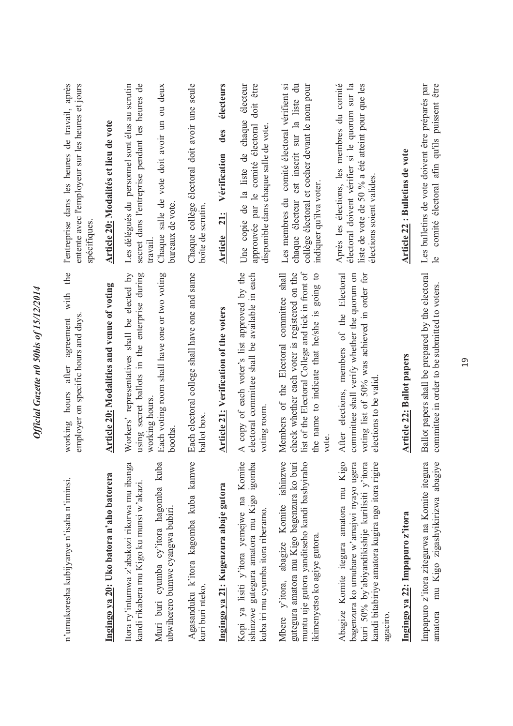| n'umukoresha kubijyanye n'isaha n'iminsi.                                                                                                                                                             | the<br>with<br>employer on specific hours and days<br>agreement<br>after<br>hours<br>working                                                                                                             | l'entreprise dans les heures de travail, après<br>entente avec l'employeur sur les heures et jours<br>spécifiques                                                             |
|-------------------------------------------------------------------------------------------------------------------------------------------------------------------------------------------------------|----------------------------------------------------------------------------------------------------------------------------------------------------------------------------------------------------------|-------------------------------------------------------------------------------------------------------------------------------------------------------------------------------|
| Ingingo ya 20: Uko batora n'aho batorera                                                                                                                                                              | Article 20: Modalities and venue of voting                                                                                                                                                               | Article 20: Modalités et lieu de vote                                                                                                                                         |
| ß<br>ë,<br>Itora ry'intumwa z'abakozi rikorwa mu ibang<br>Muri buri cyumba cy'itora hagomba kub<br>kandi rikabera mu Kigo ku munsi w'akazi.<br>ubwiherero bumwe cyangwa bubiri.                       | using secret ballots in the enterprise during<br>Each voting room shall have one or two voting<br>Workers' representatives shall be elected by<br>working hours.<br>booths                               | Les délégués du personnel sont élus au scrutin<br>secret dans l'entreprise pendant les heures de<br>Chaque salle de vote doit avoir un ou deux<br>bureaux de vote.<br>travail |
| $\circ$<br>Agasanduku k'itora kagomba kuba kamw<br>kuri buri nteko.                                                                                                                                   | Each electoral college shall have one and same<br>ballot box                                                                                                                                             | Chaque collège électoral doit avoir une seule<br>boîte de scrutin                                                                                                             |
| Ingingo ya 21: Kugenzura abaje gutora                                                                                                                                                                 | Article 21: Verification of the voters                                                                                                                                                                   | électeurs<br>des<br>Vérification<br><b>Article</b> 21:                                                                                                                        |
| Kopi ya lisiti y'itora yemejwe na Komite<br>ishinzwe gutegura amatora mu Kigo igomba<br>kuba iri mu cyumba itora riberamo.                                                                            | A copy of each voter's list approved by the<br>electoral committee shall be available in each<br>voting room                                                                                             | doit être<br>électeur<br>Une copie de la liste de chaque<br>approuvée par le comité électoral<br>disponible dans chaque salle de vote                                         |
| Mbere y'itora, abagize Komite ishinzwe<br>muntu uje gutora yanditseho kandi bashyiraho<br>gutegura amatora mu Kigo bagenzura ko buri<br>ikimenyetso ko agiye gutora.                                  | list of the Electoral College and tick in front of<br>Members of the Electoral committee shall<br>check whether each voter is registered on the<br>the name to indicate that he/she is going to<br>vote. | chaque électeur est inscrit sur la liste du<br>comité électoral vérifient si<br>collège électoral et cocher devant le nom pour<br>indiquer qu'ilva voter.<br>Les membres du   |
| Abagize Komite itegura amatora mu Kigo<br>bagenzura ko umubare w'amajwi nyayo ugera<br>kuri 50% by'abiyandikishije kurilisiti y'itora<br>kandi bitabiriye amatora kugira ngo itora rigire<br>agaciro. | elections, members of the Electoral<br>voting list of 50% was achieved in order for<br>committee shall verify whether the quorum on<br>elections to be valid<br>After                                    | Après les élections, les membres du comité<br>électoral doivent vérifier si le quorum sur la<br>liste de vote de 50 % a été atteint pour que les<br>élections soient valides. |
| Ingingo ya 22: Impapuro z'itora                                                                                                                                                                       | <b>Article 22: Ballot papers</b>                                                                                                                                                                         | Article 22 : Bulletins de vote                                                                                                                                                |
| ā<br>mu Kigo zigashyikirizwa abagiye<br>Impapuro z'itora zitegurwa na Komite itegur<br>amatora                                                                                                        | Ballot papers shall be prepared by the electoral<br>committee in order to be submitted to voters                                                                                                         | comité électoral afin qu'ils puissent être<br>Les bulletins de vote doivent être préparés par<br>$\overline{e}$                                                               |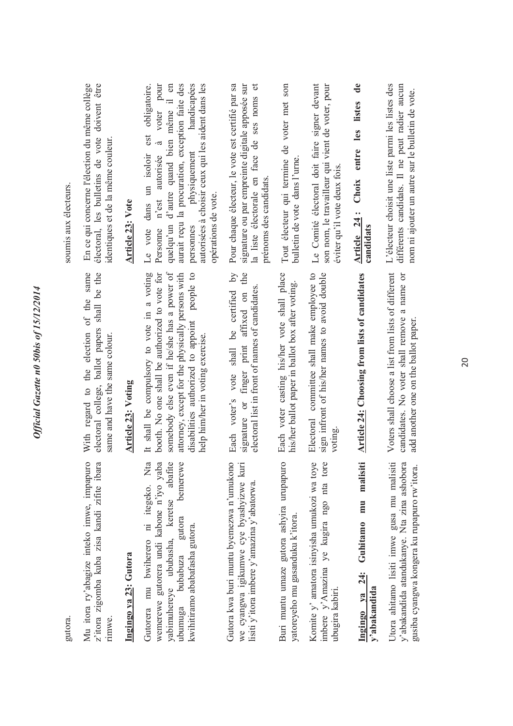| gutora.                                                                                                                                                                                                  |                                                                                                                                                                                                                                                                                       | soumis aux électeurs.                                                                                                                                                                                                                                                                                                                       |
|----------------------------------------------------------------------------------------------------------------------------------------------------------------------------------------------------------|---------------------------------------------------------------------------------------------------------------------------------------------------------------------------------------------------------------------------------------------------------------------------------------|---------------------------------------------------------------------------------------------------------------------------------------------------------------------------------------------------------------------------------------------------------------------------------------------------------------------------------------------|
| Mu itora ry'abagize inteko imwe, impapuro<br>z'itora zigomba kuba zisa kandi zifite ibara<br>rimwe.                                                                                                      | electoral college, ballot papers shall be the<br>With regard to the election of the same<br>same and have the same colour.                                                                                                                                                            | En ce qui concerne l'élection du même collège<br>électoral, les bulletins de vote doivent être<br>identiques et de la même couleur                                                                                                                                                                                                          |
| Ingingo ya 23: Gutora                                                                                                                                                                                    | <b>Article 23: Voting</b>                                                                                                                                                                                                                                                             | <b>Article 23: Vote</b>                                                                                                                                                                                                                                                                                                                     |
| Gutorera mu bwiherero ni itegeko. Nta<br>wemerewe gutorera undi kabone n'iyo yab.<br>yabimuhereye ububasha, keretse abafit<br>bemerew<br>gutora<br>kwihitiramo ababafasha gutora.<br>bubabuza<br>ubumuga | somebody else even if he/she has a power of<br>It shall be compulsory to vote in a voting<br>booth. No one shall be authorized to vote for<br>people to<br>attorney, except for the physically persons with<br>disabilities authorized to appoint<br>help him/her in voting exercise. | aurait reçu la procuration, exception faite des<br>handicapées<br>autorisées à choisir ceux qui les aident dans les<br>voter pour<br>même il en<br>obligatoire.<br>est<br>quelqu'un d'autre quand bien<br>$\tilde{\sigma}$<br>physiquement<br>dans un isoloir<br>n'est autorisée<br>opérations de vote.<br>Le vote<br>personnes<br>Personne |
| Gutora kwa buri muntu byemezwa n'umukono<br>we cyangwa igikumwe cye byashyizwe kuri<br>lisiti y'itora imbere y'amazina y'abatorwa.                                                                       | $\overline{\mathsf{d}}$<br>the<br>electoral list in front of names of candidates<br>Each voter's vote shall be certified<br>signature or finger print affixed on                                                                                                                      | Pour chaque électeur, le vote est certifié par sa<br>la liste électorale en face de ses noms et<br>signature ou par empreinte digitale apposée sur<br>prénoms des candidats.                                                                                                                                                                |
| Buri muntu umaze gutora ashyira urupapuro<br>yatoreyeho mu gasanduku k'itora.                                                                                                                            | Each voter casting his/her vote shall place<br>his/her ballot paper in ballot box after voting.                                                                                                                                                                                       | Tout électeur qui termine de voter met son<br>bulletin de vote dans l'urne                                                                                                                                                                                                                                                                  |
| Komite y' amatora isinyisha umukozi wa toye<br>imbere y'Amazina ye kugira ngo nta tor<br>ubugira kabiri.                                                                                                 | Electoral committee shall make employee to<br>sign infront of his/her names to avoid double<br>voting.                                                                                                                                                                                | Le Comité électoral doit faire signer devant<br>son nom, le travailleur qui vient de voter, pour<br>éviter qu'il vote deux fois.                                                                                                                                                                                                            |
| malisiti<br>mu<br>Guhitamo<br>Ingingo ya 24:<br>y'abakandida                                                                                                                                             | <b>Article 24: Choosing from lists of candidates</b>                                                                                                                                                                                                                                  | Choix entre les listes de<br>Article 24:<br>candidats                                                                                                                                                                                                                                                                                       |
| Utora ahitamo lisiti imwe gusa mu malisiti<br>y'abakandida atandukanye. Nta zina ashobora<br>gusiba cyangwa kongera ku rupapuro rw'itora                                                                 | Voters shall choose a list from lists of different<br>candidates. No voter shall remove a name or<br>add another one on the ballot paper                                                                                                                                              | L'électeur choisit une liste parmi les listes des<br>différents candidats. Il ne peut radier aucun<br>nom ni ajouter un autre sur le bulletin de vote.                                                                                                                                                                                      |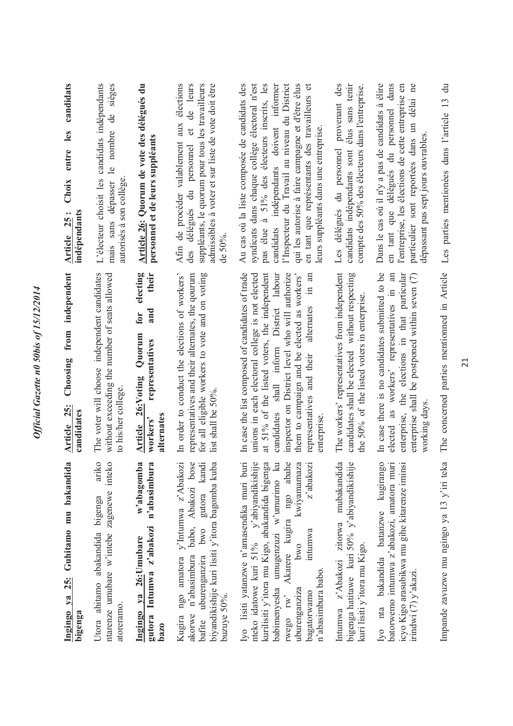| candidats<br>les<br>entre<br>Choix<br>indépendants<br>$\bullet$ $\bullet$<br><b>Article</b> 25 | L'électeur choisit les candidats indépendants<br>sièges<br>$\mathbf{d}\mathbf{e}$<br>nombre<br>$\mathbf{e}$<br>autorisés à son collège<br>dépasser<br>sans<br>mais | Article 26: Quorum de vote des délégués du<br>personnel et de leurs suppléants                                 | élections<br>de leurs<br>suppléants, le quorum pour tous les travailleurs<br>admissibles à voter et sur liste de vote doit être<br>Afin de procéder valablement aux<br>$\sigma$<br>délégués du personnel<br>de 50%.<br>des | l'Inspecteur du Travail au niveau du District<br>Au cas où la liste composée de candidats des<br>syndicats dans chaque collège électoral n'est<br>à 51% des électeurs inscrits, les<br>qui les autorise à faire campagne et d'être élus<br>en tant que représentants des travailleurs et<br>candidats indépendants doivent informer<br>leurs suppléants dans une entreprise<br>pas élue | des<br>élus sans tenir<br>compte des 50% des électeurs dans l'entreprise.<br>Les délégués du personnel provenant<br>candidats indépendants sont | Dans le cas où il n'y a pas de candidats à élire<br>en tant que délégués du personnel dans<br>délai ne<br>l'entreprise, les élections de cette entreprise en<br>particulier sont reportées dans un<br>dépassant pas sept jours ouvrables | Les parties mentionées dans l'article 13 du    |
|------------------------------------------------------------------------------------------------|--------------------------------------------------------------------------------------------------------------------------------------------------------------------|----------------------------------------------------------------------------------------------------------------|----------------------------------------------------------------------------------------------------------------------------------------------------------------------------------------------------------------------------|-----------------------------------------------------------------------------------------------------------------------------------------------------------------------------------------------------------------------------------------------------------------------------------------------------------------------------------------------------------------------------------------|-------------------------------------------------------------------------------------------------------------------------------------------------|------------------------------------------------------------------------------------------------------------------------------------------------------------------------------------------------------------------------------------------|------------------------------------------------|
| independent<br>from<br>Choosing<br>Article 25:<br>candidates                                   | The voter will choose independent candidates<br>without exceeding the number of seats allowed<br>to his/her college                                                | electing<br>their<br>and<br>for<br>Quorum<br>representatives<br>26:Voting<br>alternates<br>workers'<br>Article | representatives and their alternates, the qourum<br>for all eligible workers to vote and on voting<br>In order to conduct the elections of workers'<br>list shall be $50\%$ .                                              | In case the list composed of candidates of trade<br>unions in each electoral college is not elected<br>inspector on District level who will authorize<br>at 51% of the listed voters, the independent<br>candidates shall inform District labour<br>them to campaign and be elected as workers'<br>$\ln$ an<br>alternates<br>representatives and their<br>enterprise                    | The workers' representatives from independent<br>candidates shall be elected without respecting<br>the 50% of the listed voters in enterprise   | enterprise, the elections in that particular<br>In case there is no candidates submitted to be<br>elected as workers' representatives in an<br>enterprise shall be postponed within seven (7)<br>working days                            | The concerned parties mentionned in Article    |
| $\approx$<br>Ingingo ya 25: Guhitamo mu bakandid<br>bigenga                                    | ariko<br>ntarenze umubare w'intebe zagenewe inteko<br>Utora ahitamo abakandida bigenga<br>atoreramo                                                                | w'abagomba<br>n'abasimbura<br>gutora Intumwa z'abakozi<br>Ingingo ya 26: Umubare<br>bazo                       | babo, Abakozi bose<br>gutora kandi<br>biyandikishije kuri lisiti y'itora bagomba kuba<br>Kugira ngo amatora y'Intumwa z'Abakozi<br>bwo<br>akorwe n'abasimbura<br>bafite uburenganzira<br>buzuye 50%.                       | $\circ$<br>kwiyamamaza<br>z'abakozi<br>Iyo lisiti yatanzwe n'amasendika muri bui<br>nteko idatowe kuri 51% y'abiyandikishij<br>kurilisiti y'itora mu Kigo, abakandida bigeng<br>babimenyesha umugenzuzi w'umurimo k<br>Akarere kugira ngo abah<br>intumwa<br>pwo<br>n'abasimbura babo.<br>uburenganziza<br>bagatorwamo<br>rwego rw'                                                     | $\circ$<br>a<br>Intumwa z'Abakozi zitorwa mubakandid<br>bigenga hatitawe kuri 50% y'abiyandikishij<br>kuri lisiti y'itora mu Kigo.              | Iyo nta bakandida batanzwe kugirango<br>icyo Kigo arasubikwa mu gihe kitarenze iminsi<br>batorwemo intumwa z'abakozi, amatora muri<br>irindwi (7) y'akazi.                                                                               | Å<br>Impande zavuzwe mu ngingo ya 13 y'iri tek |

Official Gazette n0 50bis of 15/12/2014

The concerned parties mentionned in Article Les parties mentionées dans l'article 13 du Les parties mentionées dans l'article 13 du The concerned parties mentionned in Article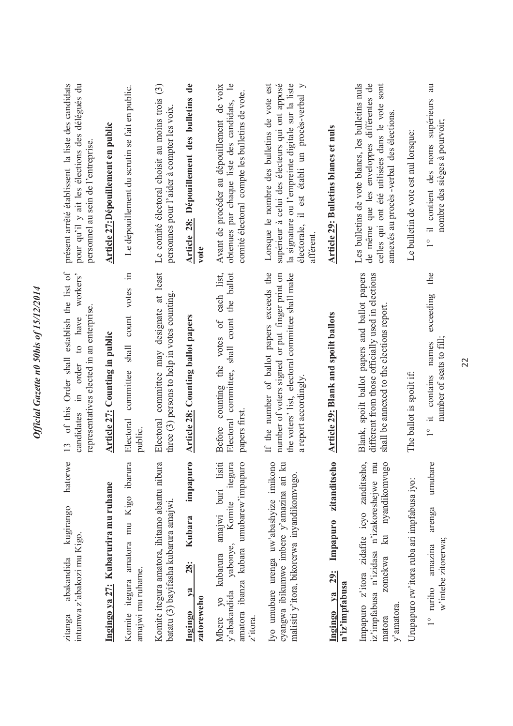| hatorwe<br>kugirango<br>intumwa z'abakozi mu Kigo.<br>abakandida<br>zitanga                                                                                              | of this Order shall establish the list of<br>workers'<br>representatives elected in an enterprise<br>candidates in order to have<br>13                                    | présent arrêté établissent la liste des candidats<br>pour qu'il y ait les élections des délégués du<br>personnel au sein de l'entreprise                                                                        |
|--------------------------------------------------------------------------------------------------------------------------------------------------------------------------|---------------------------------------------------------------------------------------------------------------------------------------------------------------------------|-----------------------------------------------------------------------------------------------------------------------------------------------------------------------------------------------------------------|
| Ingingo ya 27: Kubarurira mu ruhame                                                                                                                                      | <b>Article 27:</b> Counting in public                                                                                                                                     | Article 27: Dépouillement en public                                                                                                                                                                             |
| Komite itegura amatora mu Kigo ibarura<br>amajwi mu ruhame.                                                                                                              | $\Xi$<br>votes<br>count<br>shall<br>committee<br>Electoral<br>public.                                                                                                     | Le dépouillement du scrutin se fait en public.                                                                                                                                                                  |
| Komite itegura amatora, ihitamo abantu nibura<br>batatu (3) bayifasha kubarura amajwi.                                                                                   | Electoral committee may designate at least<br>three (3) persons to help in votes counting                                                                                 | Le comité électoral choisit au moins trois (3)<br>personnes pour l'aider à compter les voix                                                                                                                     |
| impapuro<br><b>Kubara</b><br><b>28:</b><br>$\mathbf{v}$ a<br>zatoreweho<br>Ingingo                                                                                       | <b>Article 28: Counting ballot papers</b>                                                                                                                                 | Article 28: Dépouillement des bulletins de<br>$\mathbf{v}$ ote                                                                                                                                                  |
| amatora ibanza kubara umubarew'impapuro<br>amajwi buri lisiti<br>itegura<br>Komite<br>y'abakandida yabonye,<br>Mbere yo kubarura<br>z'itora.                             | each list,<br>the ballot<br>committee, shall count<br>the votes of<br>counting<br>papers first.<br>Electoral<br>Before                                                    | $\mathbf{e}$<br>Avant de procéder au dépouillement de voix<br>comité électoral compte les bulletins de vote.<br>obtenues par chaque liste des candidats,                                                        |
| Iyo umubare urenga uw'abashyize imikono<br>cyangwa ibikumwe imbere y'amazina ari ku<br>malisiti y'itora, bikorerwa inyandikomvugo.                                       | If the number of ballot papers exceeds the<br>the voters' list, electoral committee shall make<br>number of voters signed or put finger print on<br>a report accordingly. | supérieur à celui des électeurs qui ont apposé<br>la signature ou l'empreinte digitale sur la liste<br>Lorsque le nombre des bulletins de vote est<br>électorale, il est établi un procès-verbal y<br>afférent. |
| $\subseteq$<br>zitanditseh<br>Impapuro<br><b>29:</b><br>n'iz'impfabusa<br>$Ya$<br>Ingingo                                                                                | <b>Article 29: Blank and spoilt ballots</b>                                                                                                                               | <b>Article 29: Bulletins blancs et nuls</b>                                                                                                                                                                     |
| Impapuro z'itora zidafite icyo zanditseho,<br>nyandikomvugo<br>iz'impfabusa n'izidasa n'izakoreshejwe mu<br>$\overline{\mathbf{z}}$<br>zomekwa<br>$v'$ amatora<br>matora | Blank, spoilt ballot papers and ballot papers<br>different from those officially used in elections<br>shall be annexed to the elections report                            | Les bulletins de vote blancs, les bulletins nuls<br>de même que les enveloppes différentes de<br>celles qui ont été utilisées dans le vote sont<br>annexés au procès -verbal des élections                      |
| Urupapuro rw'itora ruba ari impfabusa iyo:                                                                                                                               | The ballot is spoilt if:                                                                                                                                                  | Le bulletin de vote est nul lorsque:                                                                                                                                                                            |
| umubare<br>arenga<br>w'intebe zitorerwa;<br>amazina<br>1° ruriho                                                                                                         | the<br>exceeding<br>number of seats to fill:<br>names<br>contains<br>$\pm$<br>$\frac{1}{\sqrt{2}}$                                                                        | au<br>contient des noms supérieurs<br>nombre des sièges à pourvoir;<br>$\overset{\circ}{\phantom{0}}$                                                                                                           |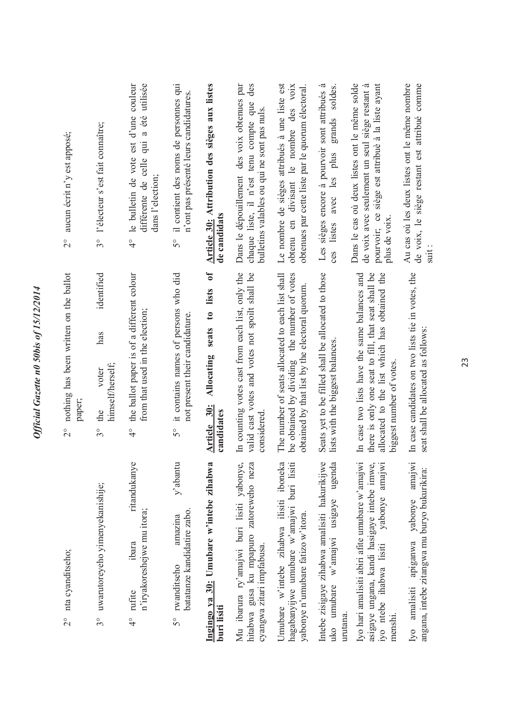| aucun écrit n'y est apposé;<br>$\frac{1}{2}$<br>nothing has been written on the ballot | l'électeur s'est fait connaître;<br>$3^{\circ}$<br>identified<br>has<br>himself/herself;<br>voter | utilisée<br>le bulletin de vote est d'une couleur<br>a été<br>$\ddot{=}$<br>différente de celle<br>dans l'election;<br>$\frac{1}{4}$<br>the ballot paper is of a different colour<br>from that used in the election; | il contient des noms de personnes qui<br>n'ont pas présenté leurs candidatures.<br>$5^{\circ}$<br>it contains names of persons who did<br>not present their candidature. | Article 30: Attribution des sièges aux listes<br>de candidats<br>lists of<br>$\mathfrak{g}$<br>seats<br>Allocating | Dans le dépouillement des voix obtenues par<br>des<br>chaque liste, il n'est tenu compte que<br>bulletins valables ou qui ne sont pas nuls.<br>In counting votes cast from each list, only the<br>valid cast votes and votes not spoilt shall be | Le nombre de sièges attribués à une liste est<br>divisant le nombre des voix<br>obtenues par cette liste par le quorum électoral<br>obtenu en<br>The number of seats allocated to each list shall<br>be obtained by dividing the number of votes<br>obtained by that list by the electoral quorum. | Les sièges encore à pourvoir sont attribués à<br>soldes.<br>grands<br>plus<br>avec les<br>listes<br>ces<br>Seats yet to be filled shall be allocated to those<br>lists with the biggest balances. | Dans le cas où deux listes ont le même solde<br>pourvoir; ce siège est attribué à la liste ayant<br>de voix avec seulement un seul siège restant à<br>plus de voix<br>In case two lists have the same balances and<br>there is only one seat to fill, that seat shall be<br>allocated to the list which has obtained the | Au cas où les deux listes ont le même nombre<br>de voix, le siège restant est attribué comme<br>suit:<br>In case candidates on two lists tie in votes, the<br>seat shall be allocated as follows: |
|----------------------------------------------------------------------------------------|---------------------------------------------------------------------------------------------------|----------------------------------------------------------------------------------------------------------------------------------------------------------------------------------------------------------------------|--------------------------------------------------------------------------------------------------------------------------------------------------------------------------|--------------------------------------------------------------------------------------------------------------------|--------------------------------------------------------------------------------------------------------------------------------------------------------------------------------------------------------------------------------------------------|----------------------------------------------------------------------------------------------------------------------------------------------------------------------------------------------------------------------------------------------------------------------------------------------------|---------------------------------------------------------------------------------------------------------------------------------------------------------------------------------------------------|--------------------------------------------------------------------------------------------------------------------------------------------------------------------------------------------------------------------------------------------------------------------------------------------------------------------------|---------------------------------------------------------------------------------------------------------------------------------------------------------------------------------------------------|
| paper;<br>$\frac{1}{2}$                                                                | the<br>$3^{\circ}$                                                                                | $\frac{1}{4}$                                                                                                                                                                                                        | $5^{\circ}$                                                                                                                                                              | Article 30:<br>candidates                                                                                          | considered                                                                                                                                                                                                                                       |                                                                                                                                                                                                                                                                                                    |                                                                                                                                                                                                   | biggest number of votes                                                                                                                                                                                                                                                                                                  |                                                                                                                                                                                                   |
| 2° nta cyanditseho;                                                                    | uwarutoreyeho yimenyekanishije;<br>$3^{\circ}$                                                    | ritandukanye<br>n'iryakoreshejwe mu itora;<br>ibara<br>rufite<br>$\frac{1}{4}$                                                                                                                                       | $y$ 'abantu<br>batatanze kandidatire zabo.<br>amazina<br>rwanditseho<br>50                                                                                               | Ingingo ya 30: Umubare w'intebe zihabwa<br>buri lisiti                                                             | Mu ibarura ry'amajwi buri lisiti yabonye,<br>hitabwa gusa ku mpapuro zatoreweho neza<br>cyangwa zitari impfabusa.                                                                                                                                | Jmubare w'intebe zihabwa ilisiti iboneka<br>hagabanyijwe umubare w'amajwi buri lisiti<br>yabonye n'umubare fatizo w'itora.                                                                                                                                                                         | Intebe zisigaye zihabwa amalisiti hakurikijwe<br>ugenda<br>w'amajwi usigaye<br>uko umubare<br>urutana.                                                                                            | Iyo hari amalisiti abiri afite umubare w'amajwi<br>asigaye ungana, kandi hasigaye intebe imwe,<br>yabonye amajwi<br>iyo ntebe ihabwa lisiti<br>menshi.                                                                                                                                                                   | amajwi<br>angana, intebe zitangwa mu buryo bukurikira:<br>apiganwa yabonye<br>amalisiti<br>Iyo                                                                                                    |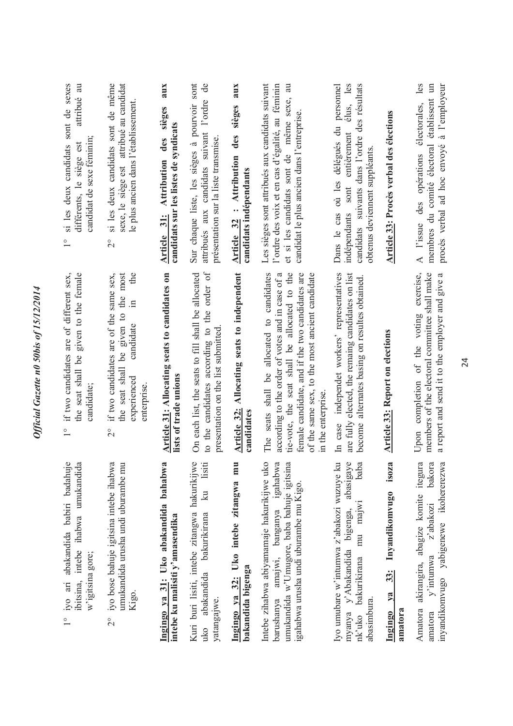| si les deux candidats sont de sexes<br>attribué<br>candidat de sexe féminin;<br>différents, le siège est<br>$\frac{1}{1}$<br>given to the female<br>if two candidates are of different sex, | si les deux candidats sont de même<br>sexe, le siège est attribué au candidat<br>le plus ancien dans l'établissement.<br>$\frac{1}{2}$<br>the<br>if two candidates are of the same sex,<br>the most<br>$\Xi$<br>given to<br>candidate | aux<br>sièges<br>candidats sur les listes de syndicats<br>des<br><b>Attribution</b><br>Article 31: | Sur chaque liste, les sièges à pourvoir sont<br>attribués aux candidats suivant l'ordre<br>présentation sur la liste transmise           | aux<br>sièges<br>des<br>: Attribution<br>candidats indépendants<br><b>Article 32</b> | Les sièges sont attribués aux candidats suivant<br>l'ordre des voix et en cas d'égalité, au féminin<br>même sexe, au<br>candidat le plus ancien dans l'entreprise.<br>et si les candidats sont de                                                                        | élus, les<br>personnel<br>candidats suivants dans l'ordre des résultats<br>Dans le cas où les délégués du<br>entièrement<br>obtenus deviennent suppléants<br>indépendants sont<br>independet workers' representatives<br>alternates basing on resultes obtained | Article 33: Procès verbal des élections                           | les<br>membres du comité électoral établissent un<br>à l'employeur<br>A l'issue des opérations électorales,<br>procès verbal ad hoc envoyé<br>completion of the voting exercise, |
|---------------------------------------------------------------------------------------------------------------------------------------------------------------------------------------------|---------------------------------------------------------------------------------------------------------------------------------------------------------------------------------------------------------------------------------------|----------------------------------------------------------------------------------------------------|------------------------------------------------------------------------------------------------------------------------------------------|--------------------------------------------------------------------------------------|--------------------------------------------------------------------------------------------------------------------------------------------------------------------------------------------------------------------------------------------------------------------------|-----------------------------------------------------------------------------------------------------------------------------------------------------------------------------------------------------------------------------------------------------------------|-------------------------------------------------------------------|----------------------------------------------------------------------------------------------------------------------------------------------------------------------------------|
| the seat shall be<br>candidate;<br>$\frac{1}{1}$                                                                                                                                            | be<br>the seat shall<br>experienced<br>enterprise.<br>$\frac{1}{2}$                                                                                                                                                                   | Article 31: Allocating seats to candidates on<br>lists of trade unions                             | to the candidates according to the order of<br>On each list, the seats to fill shall be allocated<br>presentation on the list submitted. | Article 32: Allocating seats to independent<br>candidates                            | tie-vote, the seat shall be allocated to the<br>The seats shall be allocated to candidates<br>according to the order of votes and in case of a<br>female candidate, and if the two candidates are<br>of the same sex, to the most ancient candidate<br>in the enterprise | are fully elected, the remaing candidates on list<br>In case<br>become                                                                                                                                                                                          | <b>Article 33: Report on elections</b>                            | members of the electoral committee shall make<br>a report and send it to the employer and give a<br>Upon                                                                         |
| iyo ari abakandida babiri badahuje<br>ibitsina, intebe ihabwa umukandida<br>w'igitsina gore;<br>$\frac{1}{1}$                                                                               | iyo bose bahuje igitsina intebe ihabwa<br>umukandida urusha undi uburambe mu<br>Kigo.<br>$\frac{1}{2}$                                                                                                                                | Ingingo ya 31: Uko abakandida bahabwa<br>intebe ku malisiti y'amasendika                           | $\circ$<br>ku lisiti<br>Kuri buri lisiti, intebe zitangwa hakurikijw<br>abakandida bakurikirana<br>yatanga <sub>l</sub> we.<br>uko       | Ingingo ya 32: Uko intebe zitangwa mu<br>bakandida bigenga                           | Intebe zihabwa abiyamamaje hakurikijwe uko<br>a<br>umukandida w'Umugore, baba bahuje igitsina<br>amajwi, banganya igahabw<br>igahabwa urusha undi uburambe mu Kigo.<br>barushanya                                                                                        | Iyo umubare w'intumwa z'abakozi wuzuye ku<br>a<br>abasigay<br>bab<br>mu majwi<br>myanya y'Abakandida bigenga,<br>bakurikirana<br>abasimbura.<br>nk'uko                                                                                                          | isoza<br>Invandikomvugo<br>33:<br>ya<br>amatora<br><b>Ingingo</b> | Amatora akirangira, abagize komite itegura<br>inyandikomvugo yabigenewe ikohererezwa<br>bakor<br>v'intumwa z'abakozi<br>amatora                                                  |

*Official Gazette n0 50bis of 15/12/2014* 

Official Gazette n0 50bis of 15/12/2014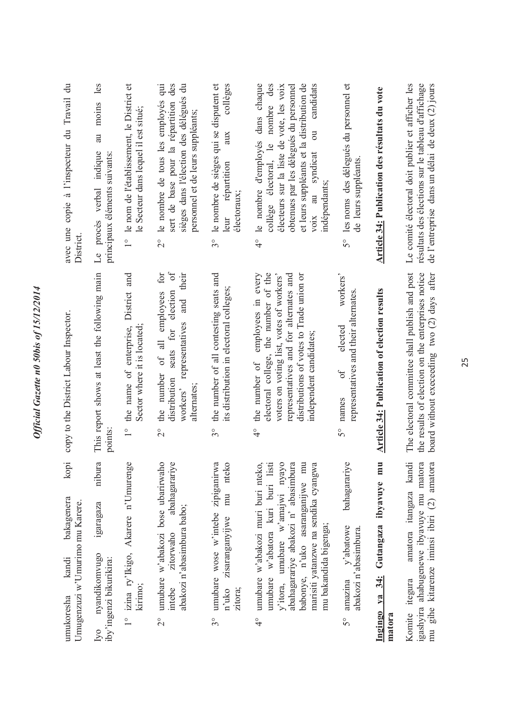| avec une copie à l'inspecteur du Travail du<br>District                      | moins les<br>a<br>Le procès verbal indique<br>principaux éléments suivants:         | 1° le nom de l'établissement, le District et<br>le Secteur dans lequel il est situé; | sert de base pour la répartition des<br>le nombre de tous les employés qui<br>sièges dans l'élection des délégués du<br>personnel et de leurs suppléants;<br>$\frac{1}{2}$<br>$\delta$<br>for<br>their<br>election<br>and | le nombre de sièges qui se disputent et<br>collèges<br>aux<br>répartition<br>électoraux;<br>leur<br>$3^{\circ}$ | le nombre d'employés dans chaque<br>et leurs suppléants et la distribution de<br>des<br>obtenues par les délegués du personnel<br>candidats<br>électeurs sur la liste de vote, les voix<br>collège électoral, le nombre<br>$\overline{\mathrm{d}}$<br>voix au syndicat<br>indépendants;<br>$\frac{1}{4}$ | les noms des délegués du personnel et<br>leurs suppléants<br>g<br>50<br>workers' | Article 34: Publication des résultats du vote  | de l'entreprise dans un délai de deux $(2)$ jours<br>Le comité électoral doit publier et afficher les<br>résultats des élections sur le tableau d'affichage |
|------------------------------------------------------------------------------|-------------------------------------------------------------------------------------|--------------------------------------------------------------------------------------|---------------------------------------------------------------------------------------------------------------------------------------------------------------------------------------------------------------------------|-----------------------------------------------------------------------------------------------------------------|----------------------------------------------------------------------------------------------------------------------------------------------------------------------------------------------------------------------------------------------------------------------------------------------------------|----------------------------------------------------------------------------------|------------------------------------------------|-------------------------------------------------------------------------------------------------------------------------------------------------------------|
| copy to the District Labour Inspector.                                       | This report shows at least the following main<br>points:                            | the name of enterprise, District and<br>Sector where it is located;<br>$\frac{1}{1}$ | of all employees<br>representatives<br>seats for<br>the number<br>distribution<br>alternates;<br>workers'<br>$\overline{C}$                                                                                               | the number of all contesting seats and<br>its distribution in electoral colleges;<br>$\mathcal{S}^{\circ}$      | employees in every<br>electoral college, the number of the<br>voters on voting list, votes of workers'<br>representatives and for alternates and<br>distributions of votes to Trade union or<br>independent candidates;<br>the number of<br>$\frac{1}{4}$                                                | representatives and their alternates.<br>elected<br>$\sigma$<br>names<br>S°      | Article 34: Publication of election results    | The electoral committee shall publish and post<br>board without execeeding two (2) days after<br>the results of election on the enterprises notice          |
| kopi<br>bakagenera<br>Umugenzuzi w'Umurimo mu Karere.<br>kandi<br>umukoresha | nibura<br>igaragaza<br>nyandikomvugo<br>iby'ingenzi bikurikira:<br>I <sub>V</sub> O | 1° izina ry'lkigo, Akarere n'Umurenge<br>kirimo;                                     | umubare w'abakozi bose ubarirwaho<br>abahagarariye<br>abakozi n'abasimbura babo;<br>zitorwaho<br>intebe<br>$\frac{1}{2}$                                                                                                  | umubare wose w'intebe zipiganirwa<br>nteko<br>mu<br>zisaranganyijwe<br>n'uko<br>zitora;<br>$3^{\circ}$          | y'itora, umubare w'amajwi nyayo<br>abahagarariye abakozi n' abasimbura<br>babonye, n'uko asaranganijwe mu<br>umubare w'abakozi muri buri nteko,<br>umubare w'abatora kuri buri listi<br>marisiti yatanzwe na sendika cyangwa<br>mu bakandida bigenga;<br>$\frac{1}{4}$                                   | bahagarariye<br>y'abatowe<br>abakozi n'abasimbura.<br>amazina<br>50              | Ingingo ya 34: Gutangaza ibyavuye mu<br>matora | igashyira ahabugenewe ibyavuye mu matora<br>mu gihe kitarenze iminsi ibiri (2) amatora<br>amatora itangaza kandi<br>Komite itegura                          |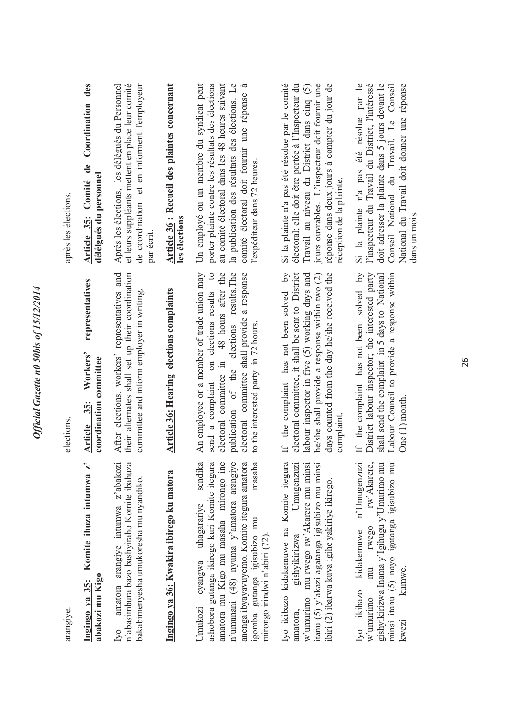| après les élections. | des<br>Coordination<br>Article 35: Comité de<br>délélgués du personnel | et leurs suppléants mettent en place leur comité<br>Après les élections, les délégués du Personnel<br>de coordination et en informent l'employeur<br>par écrit | Article 36 : Recueil des plaintes concernant<br>les élections | au comité électoral dans les 48 heures suivant<br>la publication des résultats des élections. Le<br>Un employé ou un membre du syndicat peut<br>porter plainte contre les résultats des élections<br>comité électoral doit fournir une réponse<br>l'expéditeur dans 72 heures.<br>$\circ$                                            | Si la plainte n'a pas été résolue par le comité<br>jours ouvrables. L'inspecteur doit fournir une<br>réponse dans deux jours à compter du jour de<br>électoral; elle doit être portée à l'Inspecteur du<br>Travail au niveau du District dans cinq (5)<br>réception de la plainte.<br>$\lambda$ q | Si la plainte n'a pas été résolue par le<br>l'inspecteur du Travail du District, l'intéressé<br>doit adresser la plainte dans 5 jours devant le<br>Conseil National du Travail. Le Conseil<br>National du Travail doit donner une réponse |
|----------------------|------------------------------------------------------------------------|----------------------------------------------------------------------------------------------------------------------------------------------------------------|---------------------------------------------------------------|--------------------------------------------------------------------------------------------------------------------------------------------------------------------------------------------------------------------------------------------------------------------------------------------------------------------------------------|---------------------------------------------------------------------------------------------------------------------------------------------------------------------------------------------------------------------------------------------------------------------------------------------------|-------------------------------------------------------------------------------------------------------------------------------------------------------------------------------------------------------------------------------------------|
| elections.           | representatives<br>Workers'<br>coordination committee<br>Article 35:   | After elections, workers' representatives and<br>their alternates shall set up their coordination<br>committee and inform employer in writing.                 | <b>Article 36: Hearing elections complaints</b>               | An employee or a member of trade union may<br>electoral committee in 48 hours after the<br>publication of the elections results. The<br>electoral committee shall provide a response<br>send a complaint on elections results<br>to the interested party in 72 hours.                                                                | electoral committee, it shall be sent to District<br>labour inspector in five (5) working days and<br>he/she shall provide a response within two (2)<br>days counted from the day he/she received the<br>If the complaint has not been solved<br>complaint                                        | If the complaint has not been solved by<br>District labour inspector; the interested party<br>Labour Council to provide a response within<br>shall send the complaint in 5 days to National<br>One $(1)$ month.                           |
| arangiye.            | Komite ihuza intumwa z'<br>abakozi mu Kigo<br>Ingingo ya 35:           | amatora arangiye intumwa z'abakozi<br>n'abasimbura bazo bashyiraho Komite ibahuza<br>bakabimenyesha umukoresha mu nyandiko.<br>Iyo                             | Ingingo ya 36: Kwakira ibirego ku matora                      | sendika<br>$\circ$<br>$\circ$<br>ā<br>a<br>ashobora gutanga ikirego kuri Komite itegur<br>amatora mu Kigo mu masaha mirongo in<br>n'umunani $(48)$ nyuma y'amatora arangiy<br>anenga ibyayavuyemo. Komite itegura amator<br>masaha<br>cyangwa uhagarariye<br>igomba gutanga igisubizo mu<br>mirongo irindwi n'abiri (72).<br>Umukozi | Iyo ikibazo kidakemuwe na Komite itegura<br>itanu (5) y'akazi agatanga igisubizo mu minsi<br>Umugenzuzı<br>w'umurimo mu rwego rw'Akarere mu minsi<br>ibiri (2) ibarwa kuva igihe yakiriye ikirego.<br>gishyikirizwa<br>amatora,                                                                   | rw'Akarere,<br>gishyikirizwa Inama y'Igihugu y'Umurimo mu<br>minsi itanu (5) nayo igatanga igisubizo mu<br>n'Umugenzuzi<br>rwego<br>kidakemuwe<br>mu<br>kumwe.<br>Iyo ikibazo<br>w'umurimo<br>kwezi                                       |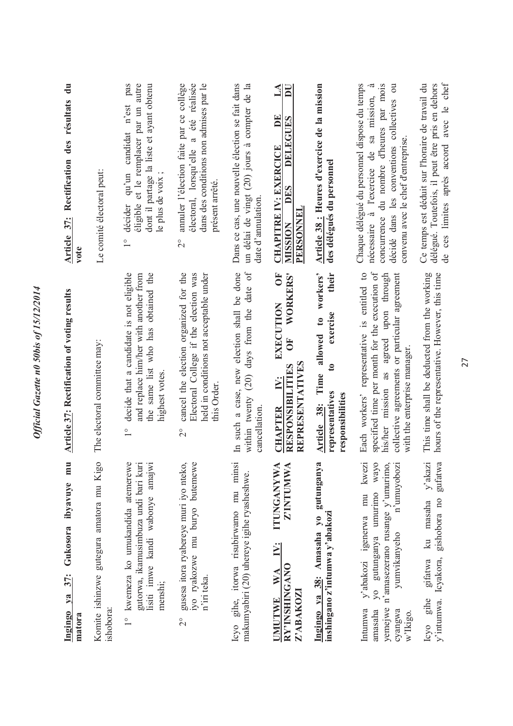| mu<br>ibyavuye<br>Gukosora<br>Ingingo ya 37:<br>matora                                                                                                                                  | <b>Article 37: Rectification of voting results</b>                                                                                                                                                                     | $\ddot{a}$<br><b>Article 37:</b> Rectification des résultats<br>vote                                                                                                                                                           |
|-----------------------------------------------------------------------------------------------------------------------------------------------------------------------------------------|------------------------------------------------------------------------------------------------------------------------------------------------------------------------------------------------------------------------|--------------------------------------------------------------------------------------------------------------------------------------------------------------------------------------------------------------------------------|
| Komite ishinzwe gutegura amatora mu Kigo<br>ishobora:                                                                                                                                   | The electoral committee may:                                                                                                                                                                                           | Le comité électoral peut:                                                                                                                                                                                                      |
| kwemeza ko umukandida atemerewe<br>gutorwa, ikamusimbuza undi bari kuri<br>lisiti imwe kandi wabonye amajwi<br>menshi;<br>$\frac{1}{1}$                                                 | decide that a candidate is not eligible<br>the same list who has obtained the<br>and replace him/her with another from<br>highest votes<br>$\frac{1}{1}$                                                               | pas<br>éligible et le remplacer par un autre<br>dont il partage la liste et ayant obtenu<br>candidat n'est<br>qu'un<br>le plus de voix;<br>décider<br>$\overline{1}$                                                           |
| gusesa itora ryabereye muri iyo nteko,<br>iyo ryakozwe mu buryo butemewe<br>n'iri teka.<br>$\overline{2}$                                                                               | cancel the election organized for the<br>Electoral College if the election was<br>held in conditions not acceptable under<br>this Order<br>$\overline{C}$                                                              | amuler l'élection faite par ce collège<br>été réalisée<br>dans des conditions non admises par le<br>ಡ<br>électoral, lorsqu'elle<br>présent arrêté<br>$\overset{\circ}{\sim}$                                                   |
| Icyo gihe, itorwa risubirwamo mu minsi<br>makumyabiri (20) uhereye igihe ryasheshwe.                                                                                                    | (20) days from the date of<br>In such a case, new election shall be done<br>within twenty<br>cancellation.                                                                                                             | Dans ce cas, une nouvelle élection se fait dans<br>un délai de vingt (20) jours à compter de la<br>date d'annulation                                                                                                           |
| <b>ITUNGANYWA</b><br>Z'INTUMWA<br>IV:<br>RY'INSHINGANO<br>$\mathbf{W} \mathbf{A}$<br>Z'ABAKOZI<br><b>IMUTIVE</b>                                                                        | ŌF<br><b>WORKERS'</b><br>EXECUTION<br>ð<br>REPRESENTATIVES<br>RESPONSIBILITIES<br>i.<br><b>CHAPTER</b>                                                                                                                 | $\mathbf{L}\mathbf{A}$<br>$\overline{\mathsf{D}}$<br>DE<br>DELEGUES<br><b>CHAPITRE IV: EXERCICE</b><br>DES<br>PERSONNEL<br><b>MISSION</b>                                                                                      |
| Ingingo ya 38: Amasaha yo gutunganya<br>inshingano z'intumwa y'abakozi                                                                                                                  | Time allowed to workers'<br>their<br>exercise<br>$\mathbf{c}$<br>representatives<br>responsibilities<br>Article 38:                                                                                                    | Article 38 : Heures d'exercice de la mission<br>des délégués du personnel                                                                                                                                                      |
| kwezi<br>yo gutunganya umurimo wayo<br>n'amasezerano rusange y'umurimo,<br>n'umuyobozi<br>y'abakozi igenerwa mu<br>yumvikanyeho<br>yemejwe<br>Intumwa<br>cyangwa<br>amasaha<br>w'Ikigo. | specified time per month for the execution of<br>Each workers' representative is entitled to<br>his/her mission as agreed upon through<br>collective agreements or particular agreement<br>with the enterprise manager | Chaque délégué du personnel dispose du temps<br>concurrence du nombre d'heures par mois<br>décidé dans les conventions collectives ou<br>.ದ<br>sa mission,<br>convenu avec le chef d'entreprise.<br>nécessaire à l'exercice de |
| $y'$ akazi<br>gufatwa<br>gishobora no<br>masaha<br>$k$ u<br>y'intumwa. Icyakora,<br>gifatwa<br>gihe<br>$_{\rm{CVO}}$                                                                    | This time shall be deducted from the working<br>hours of the representative. However, this time                                                                                                                        | de ces limites après accord avec le chef<br>Ce temps est déduit sur l'horaire de travail du<br>délégué. Toutefois, il peut être pris en dehors                                                                                 |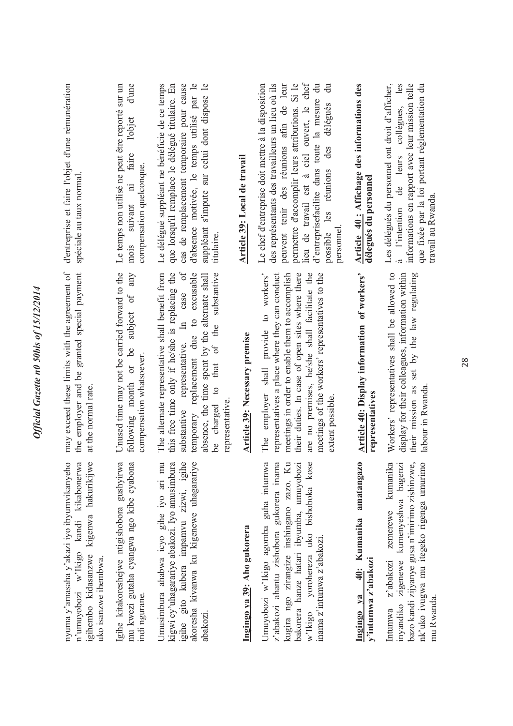| d'entreprise et faire l'objet d'une rémunération<br>spéciale au taux normal.                                                                                            | d'une<br>Le temps non utilisé ne peut être reporté sur un<br>l'objet<br>faire<br>compensation quelconque.<br>suivant ni<br>mois<br>any | d'absence motivée, le temps utilisé par le<br>cas de remplacement temporaire pour cause<br>suppléant s'impute sur celui dont dispose le<br>Le délégué suppléant ne bénéficie de ce temps<br>que lorsqu'il remplace le délégué titulaire. En<br>titulaire.                                                               | Article 39: Local de travail  | lieu de travail est à ciel ouvert, le chef<br>Le chef d'entreprise doit mettre à la disposition<br>permettre d'accomplir leurs attributions. Si le<br>des représentants des travailleurs un lieu où ils<br>peuvent tenir des réunions afin de leur<br>$\ddot{a}$<br>đ<br>d'entreprisefacilite dans toute la mesure<br>délégues<br>des<br>réunions<br>les<br>personnel<br>possible | Article 40: Affichage des informations des<br>délegués du personnel   | Les délégués du personnel ont droit d'afficher,<br>collègues, les<br>informations en rapport avec leur mission telle<br>que fixée par la loi portant réglementation du<br>l'intention de leurs<br>travail au Rwanda<br>್ದ |
|-------------------------------------------------------------------------------------------------------------------------------------------------------------------------|----------------------------------------------------------------------------------------------------------------------------------------|-------------------------------------------------------------------------------------------------------------------------------------------------------------------------------------------------------------------------------------------------------------------------------------------------------------------------|-------------------------------|-----------------------------------------------------------------------------------------------------------------------------------------------------------------------------------------------------------------------------------------------------------------------------------------------------------------------------------------------------------------------------------|-----------------------------------------------------------------------|---------------------------------------------------------------------------------------------------------------------------------------------------------------------------------------------------------------------------|
| may exceed these limits with the agreement of<br>the employer and be granted special payment<br>at the normal rate.                                                     | Unused time may not be carried forward to the<br>subject of<br>following month or be<br>compensation whatsoever.                       | substantive representative. In case of<br>The alternate representative shall benefit from<br>this free time only if he/she is replacing the<br>temporary replacement due to excusable<br>of the substantive<br>absence, the time spent by the alternate shall<br>that<br>$\mathfrak{a}$<br>representative<br>be charged | Article 39: Necessary premise | provide to workers'<br>meetings in order to enable them to accomplish<br>their duties. In case of open sites where there<br>are no premises, he/she shall facilitate the<br>representatives a place where they can conduct<br>meetings of the workers' representatives to the<br>employer shall<br>extent possible<br>The                                                         | <b>Article 40: Display information of workers'</b><br>representatives | Workers' representatives shall be allowed to<br>display for their colleagues, information within<br>their mission as set by the law regulating<br>labour in Rwanda                                                        |
| nyuma y'amasaha y'akazi iyo ibyumvikanyeho<br>a<br>$\circ$<br>n'umuyobozi w'Ikigo kandi kikabonerw<br>kigenwa hakurikijw<br>igihembo kidasanzwe<br>uko isanzwe ihembwa. | $\mathfrak{a}$<br>a<br>Igihe kitakoreshejwe ntigishobora gushyirw<br>mu kwezi gutaha cyangwa ngo kibe cyabon<br>indi ngurane.          | $\ddot{\mathbf{O}}$<br>$\circ$<br>Umusimbura ahabwa icyo gihe iyo ari mu<br>kigwi cy'uhagarariye abakozi. Iyo amusimbur<br>igihe gito kubera impamvu zizwi, igih<br>akoresha kivanwa ku kigenewe uhagarariy<br>abakozi.                                                                                                 | Ingingo ya 39: Aho gukorera   | ā<br>z'abakozi ahantu zishobora gukorera inama<br>kugira ngo zirangize inshingano zazo. Ku<br>٥<br>bakorera hanze hatari ibyumba, umuyobozi<br>Umuyobozi w'Ikigo agomba guha intumw<br>yorohereza uko bishoboka kos<br>inama z'intumwa z'abakozi.<br>w'Ikigo                                                                                                                      | amatangazo<br>40: Kumanika<br>y'intumwa z'abakozi<br>Ingingo ya       | bazo kandi zijyanye gusa n'imirimo zishinzwe,<br>zemerewe kumanika<br>nk'uko ivugwa mu itegeko rigenga umurimo<br>inyandiko zigenewe kumenyeshwa bagenzi<br>z'abakozi<br>mu Rwanda.<br>Intumwa                            |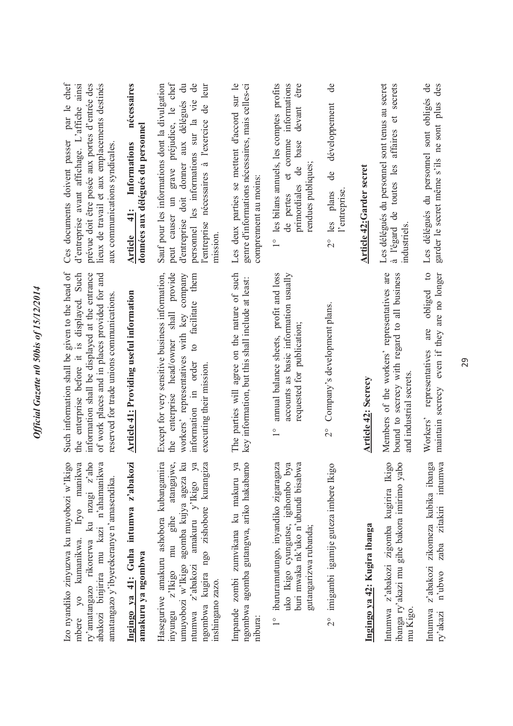| par le chef<br>d'entreprise avant affichage. L'affiche ainsi<br>lieux de travail et aux emplacements destinés<br>prévue doit être posée aux portes d'entrée des<br>Ces documents doivent passer<br>aux communications syndicales.             | nécessaires<br>données aux délégués du personnel<br>Informations<br>$\frac{41}{7}$<br>Article | grave préjudice, le chef<br>Sauf pour les informations dont la divulgation<br>$\ddot{a}$<br>$\rm{de}$<br>l'entreprise nécessaires à l'exercice de leur<br>personnel les informations sur la vie<br>d'entreprise doit donner aux délégués<br>peut causer un<br>mission. | Les deux parties se mettent d'accord sur le<br>genre d'informations nécessaires, mais celles-ci<br>comprennent au moins: | 1° les bilans annuels, les comptes profits<br>devant être<br>et comme informations<br>primordiales de base<br>rendues publiques;<br>de pertes | $\frac{e}{\sigma}$<br>développement<br>de<br>l'entreprise.<br>$2^{\circ}$ les plans | <b>Article 42: Garder secret</b> | secrets<br>Les délégués du personnel sont tenus au secret<br>affaires et<br>à l'égard de toutes les<br>industriels     | Les délégués du personnel sont obligés de<br>des<br>garder le secret même s'ils ne sont plus    |
|-----------------------------------------------------------------------------------------------------------------------------------------------------------------------------------------------------------------------------------------------|-----------------------------------------------------------------------------------------------|------------------------------------------------------------------------------------------------------------------------------------------------------------------------------------------------------------------------------------------------------------------------|--------------------------------------------------------------------------------------------------------------------------|-----------------------------------------------------------------------------------------------------------------------------------------------|-------------------------------------------------------------------------------------|----------------------------------|------------------------------------------------------------------------------------------------------------------------|-------------------------------------------------------------------------------------------------|
| Such information shall be given to the head of<br>the enterprise before it is displayed. Such<br>information shall be displayed at the entrance<br>of work places and in places provided for and<br>reserved for trade unions communications. | <b>Article 41: Providing useful information</b>                                               | shall provide<br>Except for very sensitive business information,<br>facilitate them<br>workers' representatives with key company<br>head/owner<br>$\overline{c}$<br>information in order<br>executing their mission.<br>the enterprise                                 | The parties will agree on the nature of such<br>key information, but this shall include at least:                        | annual balance sheets, profit and loss<br>accounts as basic information usually<br>requested for publication;<br>$\frac{1}{1}$                | 2° Company's development plans.                                                     | <b>Article 42: Secrecy</b>       | Members of the workers' representatives are<br>bound to secrecy with regard to all business<br>and industrial secrets. | obliged to<br>maintain secrecy even if they are no longer<br>are<br>representatives<br>Workers' |
| Izo nyandiko zinyuzwa ku muyobozi w'Ikigo<br>Iryo manikwa<br>ry'amatangazo rikorerwa ku nzugi z'aho<br>abakozi binjirira mu kazi n'ahamanikwa<br>amatangazo y'ibyerekeranye n'amasendika.<br>mbere yo kumanikwa.                              | Ingingo ya 41: Guha intumwa z'abakozi<br>amakuru ya ngombwa                                   | Haseguriwe amakuru ashobora kubangamira<br>atangajwe.<br>umuyobozi w'Ikigo agomba kujya ageza ku<br>amakuru y'lkigo ya<br>ngombwa kugira ngo zishobore kurangiza<br>mu gihe<br>ntumwa z'abakozi<br>z'Ikigo<br>inshingano zazo.<br>inyungu                              | Impande zombi zumvikana ku makuru ya<br>ngombwa agomba gutangwa, ariko hakabamo<br>nibura:                               | 1° ibaruramutungo, inyandiko zigaragaza<br>uko Ikigo cyungutse, igihombo bya<br>buri mwaka nk'uko n'ubundi bisabwa<br>gutangarizwa rubanda;   | 2° imigambi igamije guteza imbere Ikigo                                             | Ingingo ya 42: Kugira ibanga     | Intumwa z'abakozi zigomba kugirira Ikigo<br>ibanga ry'akazi mu gihe bakora imirimo yabo<br>mu Kigo                     | Intumwa z'abakozi zikomeza kubika ibanga<br>zaba zitakiri intumwa<br>n'ubwo<br>ry'akazi         |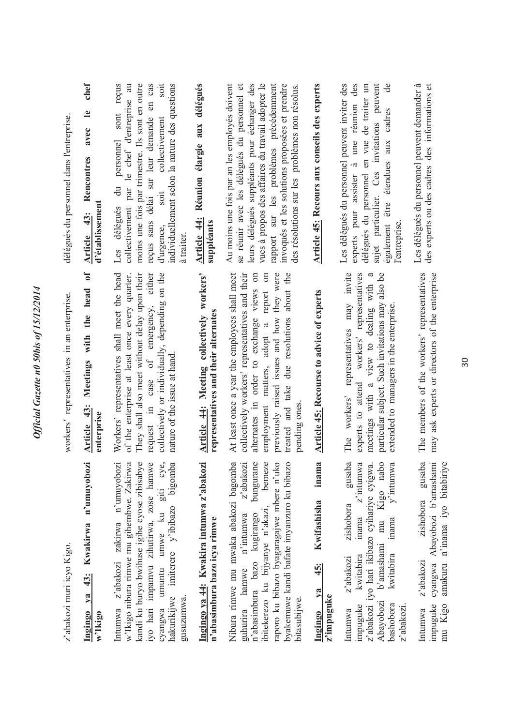| délégués du personnel dans l'entreprise.   | chef<br>$\mathbf{e}$<br>avec<br>Rencontres<br>d'établissement<br>43:<br><b>Article</b><br>ð<br>head<br>the | reçus<br>collectivement par le chef d'entreprise au<br>soit<br>individuellement selon la nature des questions<br>moins une fois par trimestre. Ils sont en outre<br>en cas<br>sont<br>reçus sans délai sur leur demande<br>collectivement<br>personnel<br>$\ddot{a}$<br>soit<br>délégués<br>d'urgence,<br>à traiter<br>Les | Réunion élargie aux délégués<br>Article 44:<br>suppléants<br>workers'    | Au moins une fois par an les employés doivent<br>leurs délégués suppléants pour échanger des<br>vues à propos des affaires du travail adopter le<br>se réunir avec les délégués du personnel et<br>rapport sur les problèmes précédemment<br>invoqués et les solutions proposées et prendre<br>des résolutions sur les problèmes non résolus.<br>about the | Article 45: Recours aux conseils des experts                           | Les délégués du personnel peuvent inviter des<br>des<br>sujet particulier. Ces invitations peuvent<br>délégués du personnel en vue de traiter un<br>à une réunion<br>cadres<br>aux<br>également être étendues<br>experts pour assister<br>l'entreprise<br>representatives may invite<br>workers' representatives | Les délégués du personnel peuvent demander à<br>des experts ou des cadres des informations et |
|--------------------------------------------|------------------------------------------------------------------------------------------------------------|----------------------------------------------------------------------------------------------------------------------------------------------------------------------------------------------------------------------------------------------------------------------------------------------------------------------------|--------------------------------------------------------------------------|------------------------------------------------------------------------------------------------------------------------------------------------------------------------------------------------------------------------------------------------------------------------------------------------------------------------------------------------------------|------------------------------------------------------------------------|------------------------------------------------------------------------------------------------------------------------------------------------------------------------------------------------------------------------------------------------------------------------------------------------------------------|-----------------------------------------------------------------------------------------------|
| workers' representatives in an enterprise. | with<br>Meetings<br>43:<br>enterprise<br><b>Article</b>                                                    | Workers' representatives shall meet the head<br>of the enterprise at least once every quarter.<br>They shall also meet without delay upon their<br>collectively or individually, depending on the<br>request in case of emergency, either<br>nature of the issue at hand                                                   | representatives and their alternates<br>Article 44: Meeting collectively | At least once a year the employees shall meet<br>employment matters, adopt a report on<br>previously raised issues and how they were<br>collectively workers' representatives and their<br>alternates in order to exchange views on<br>treated and take due resolutions<br>pending ones                                                                    | <b>Article 45: Recourse to advice of experts</b>                       | particular subject. Such invitations may also be<br>meetings with a view to dealing with<br>extended to managers in the enterprise<br>experts to attend<br>The workers'                                                                                                                                          | The members of the workers' representatives<br>may ask experts or directors of the enterprise |
| z'abakozi muri icyo Kigo.                  | n'umuyobozi<br><b>Kwakirwa</b><br>43:<br>ya<br>Ingingo<br>w'Ikigo                                          | Intumwa z'abakozi zakirwa n'umuyobozi<br>imiterere y'ibibazo bigomba<br>cyangwa umuntu umwe ku giti cye,<br>w'Ikigo nibura rimwe mu gihembwe. Zakirw<br>kandi ku buryo bwihuse igihe cyose zibisaby<br>iyo hari impamvu zihutirwa, zose hamw<br>hakurikijwe<br>gusuzumwa.                                                  | Ingingo ya 44: Kwakira intumwa z'abakozi<br>n'abasimbura bazo icya rimwe | Nibura rimwe mu mwaka abakozi bagomba<br>raporo ku bibazo byagaragajwe mbere n'uko<br>byakemuwe kandi bafate imyanzuro ku bibazo<br>z'abakozi<br>bunguran<br>bemez<br>ibitekerezo ku bijyanye n'akazi,<br>n'abasimbura bazo kugirango<br>n'intumwa<br>guhurira hamwe<br>bitasubijwe.                                                                       | inama<br>Kwifashisha<br>45:<br>$\mathbf{v}$ a<br>z'impuguke<br>Ingingo | gusaba<br>z'intumwa<br>Kigo nabo<br>$v$ 'intumwa<br>z'abakozi iyo hari ikibazo cyihariye cyigwa.<br>zishobora<br>mu<br>inama<br>inama<br>b'amashami<br>kwitabira<br>kwitabira<br>z'abakozi<br>Abayobozi<br>bashobora<br>impuguke<br>z'abakozi<br>Intumwa                                                         | gusaba<br>Abayobozi b'amashami<br>zishobora<br>cyangwa<br>z'abakozi<br>mpuguke<br>Intumwa     |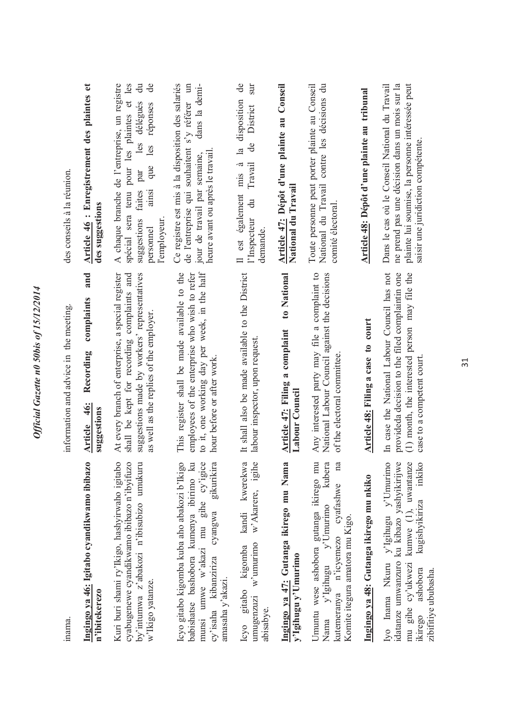| inama.                                                                                                                                                                                              | information and advice in the meeting                                                                                                                                                     | des conseils à la réunion.                                                                                                                                                                                                        |
|-----------------------------------------------------------------------------------------------------------------------------------------------------------------------------------------------------|-------------------------------------------------------------------------------------------------------------------------------------------------------------------------------------------|-----------------------------------------------------------------------------------------------------------------------------------------------------------------------------------------------------------------------------------|
| Ingingo ya 46: Igitabo cyandikwamo ibibazo<br>n'ibitekerezo                                                                                                                                         | and<br>complaints<br>Recording<br>4 <u>6:</u><br>suggestions<br><b>Article</b>                                                                                                            | Article 46 : Enregistrement des plaintes et<br>des suggestions                                                                                                                                                                    |
| Kuri buri shami ry'Ikigo, hashyirwaho igitabo<br>cyabugenewe cyandikwamo ibibazo n'ibyifuzo<br>by'intumwa z'abakozi n'ibisubizo umukuru<br>w'Ikigo yatanze.                                         | shall be kept for recording complaints and<br>suggestions made by workers' representatives<br>At every branch of enterprise, a special register<br>as well as the replies of the employer | A chaque branche de l'entreprise, un registre<br>les plaintes et les<br>$\ddot{a}$<br>ಕೆ<br>les délégués<br>réponses<br>les<br>que<br>spécial sera tenu pour<br>par<br>faites<br>ainsi<br>suggestions<br>l'employeur<br>personnel |
| Icyo gitabo kigomba kuba aho abakozi b'Ikigo<br>babishatse bashobora kumenya ibirimo ku<br>Φ<br>cy'isaha kibanziriza cyangwa gikurikira<br>munsi umwe w'akazi mu gihe cy'igic<br>amasaha $y$ akazi. | to it, one working day per week, in the half<br>This register shall be made available to the<br>employees of the enterprise who wish to refer<br>hour before or after work.               | dans la demi-<br>Ce registre est mis à la disposition des salariés<br>$\mathop{\mathrm{un}}$<br>s'y référer<br>de l'entreprise qui souhaitent<br>jour de travail par semaine,<br>heure avant ou après le travail                  |
| kandi kwerekwa<br>Φ<br>w'Akarere, igih<br>$w'$ umurimo<br>Icyo gitabo kigomba<br>umugenzuzi<br>abisabye.                                                                                            | It shall also be made available to the District<br>labour inspector, upon request.                                                                                                        | de<br>$\sin$<br>disposition<br>District<br>de<br>$\mathbf{a}$<br>Travail<br>mis a<br>Il est également<br>$\ddot{a}$<br>l'Inspecteur<br>demande.                                                                                   |
| Ingingo ya 47: Gutanga ikirego mu Nama<br>y'Igihugu y'Umurimo                                                                                                                                       | to National<br>Article 47: Filing a complaint<br>Labour Council                                                                                                                           | Article 47: Dépôt d'une plainte au Conseil<br>National du Travail                                                                                                                                                                 |
| Umuntu wese ashobora gutanga ikirego mu<br>kutemeranya n'icyemezo cyafashwe na<br>Nama y'Igihugu y'Umurimo kubera<br>Komite itegura amatora mu Kigo.                                                | Any interested party may file a complaint to<br>National Labour Council against the decisions<br>of the electoral committee.                                                              | Toute personne peut porter plainte au Conseil<br>National du Travail contre les décisions du<br>comité électoral                                                                                                                  |
| Ingingo ya 48: Gutanga ikirego mu nkiko                                                                                                                                                             | Article 48: Filing a case to court                                                                                                                                                        | Article 48: Dépôt d'une plainte au tribunal                                                                                                                                                                                       |
| Iyo Inama Nkuru y'Igihugu y'Umurimo<br>kugishyikiriza inkiko<br>idatanze umwanzuro ku kibazo yashyikirijw<br>mu gihe cy'ukwezi kumwe (1), uwantanz<br>ikirego ashobora<br>zibifitiye ububasha.      | In case the National Labour Council has not<br>provideda decision to the filed complaintin one<br>(1) month, the interested person may file the<br>case to a competent court              | me prend pas une décision dans un mois sur la<br>plainte lui soumise, la personne intéressée peut<br>Dans le cas où le Conseil National du Travail<br>saisir une juridiction compétente.                                          |